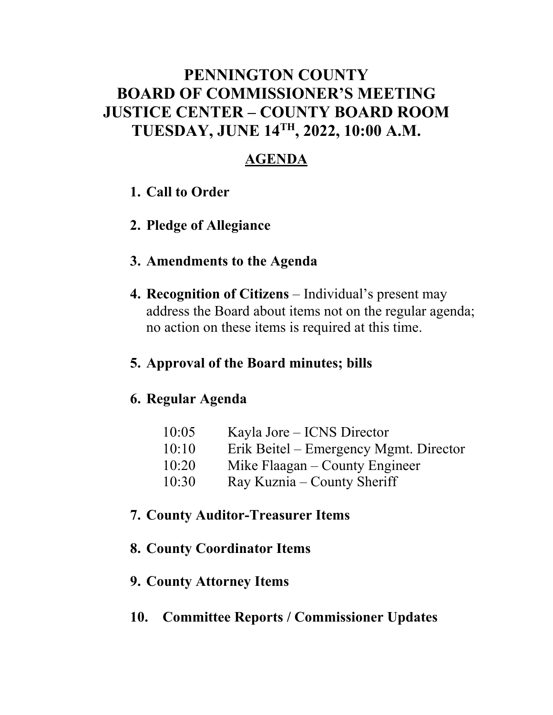## **PENNINGTON COUNTY BOARD OF COMMISSIONER'S MEETING JUSTICE CENTER – COUNTY BOARD ROOM TUESDAY, JUNE 14TH , 2022, 10:00 A.M.**

### **AGENDA**

- **1. Call to Order**
- **2. Pledge of Allegiance**
- **3. Amendments to the Agenda**
- **4. Recognition of Citizens** Individual's present may address the Board about items not on the regular agenda; no action on these items is required at this time.

### **5. Approval of the Board minutes; bills**

### **6. Regular Agenda**

| 10:05 | Kayla Jore – ICNS Director             |
|-------|----------------------------------------|
| 10:10 | Erik Beitel – Emergency Mgmt. Director |
| 10:20 | Mike Flaagan – County Engineer         |
| 10:30 | Ray Kuznia – County Sheriff            |

### **7. County Auditor-Treasurer Items**

### **8. County Coordinator Items**

### **9. County Attorney Items**

### **10. Committee Reports / Commissioner Updates**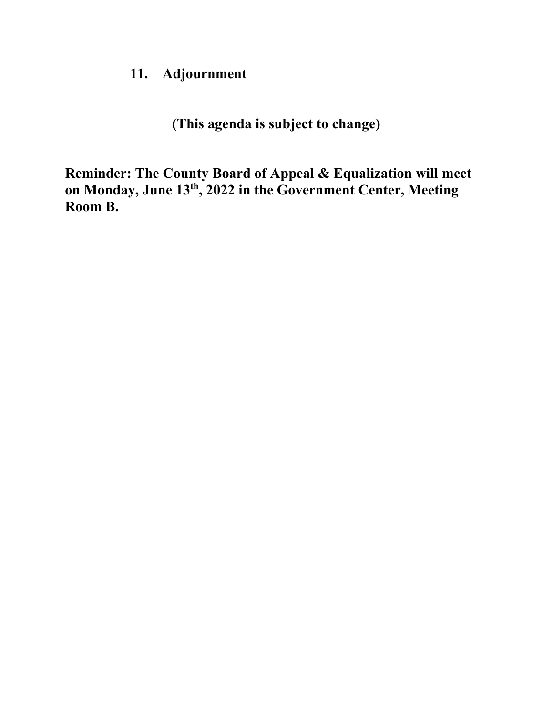### **11. Adjournment**

**(This agenda is subject to change)**

**Reminder: The County Board of Appeal & Equalization will meet on Monday, June 13th, 2022 in the Government Center, Meeting Room B.**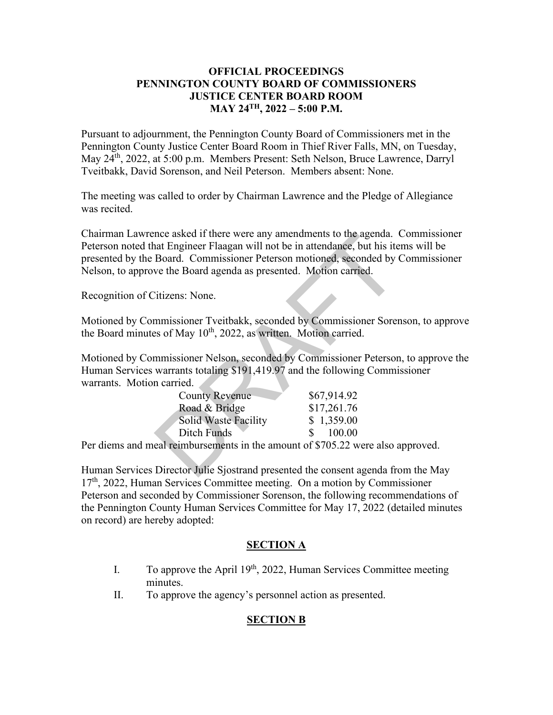#### **OFFICIAL PROCEEDINGS PENNINGTON COUNTY BOARD OF COMMISSIONERS JUSTICE CENTER BOARD ROOM MAY 24TH, 2022 – 5:00 P.M.**

Pursuant to adjournment, the Pennington County Board of Commissioners met in the Pennington County Justice Center Board Room in Thief River Falls, MN, on Tuesday, May 24th, 2022, at 5:00 p.m. Members Present: Seth Nelson, Bruce Lawrence, Darryl Tveitbakk, David Sorenson, and Neil Peterson. Members absent: None.

The meeting was called to order by Chairman Lawrence and the Pledge of Allegiance was recited.

Chairman Lawrence asked if there were any amendments to the agenda. Commissioner Peterson noted that Engineer Flaagan will not be in attendance, but his items will be presented by the Board. Commissioner Peterson motioned, seconded by Commissioner Nelson, to approve the Board agenda as presented. Motion carried. nce asked if there were any amendments to the agenda.<br>
In a Engineer Flaagan will not be in attendance, but his ite<br>
Board. Commissioner Peterson motioned, seconded by<br>
ve the Board agenda as presented. Motion carried.<br>
Ci

Recognition of Citizens: None.

Motioned by Commissioner Tveitbakk, seconded by Commissioner Sorenson, to approve the Board minutes of May  $10^{th}$ , 2022, as written. Motion carried.

Motioned by Commissioner Nelson, seconded by Commissioner Peterson, to approve the Human Services warrants totaling \$191,419.97 and the following Commissioner warrants. Motion carried.

| <b>County Revenue</b> | \$67,914.92             |
|-----------------------|-------------------------|
| Road & Bridge         | \$17,261.76             |
| Solid Waste Facility  | \$1,359.00              |
| Ditch Funds           | 100.00<br>$\mathcal{S}$ |

Per diems and meal reimbursements in the amount of \$705.22 were also approved.

Human Services Director Julie Sjostrand presented the consent agenda from the May  $17<sup>th</sup>$ , 2022, Human Services Committee meeting. On a motion by Commissioner Peterson and seconded by Commissioner Sorenson, the following recommendations of the Pennington County Human Services Committee for May 17, 2022 (detailed minutes on record) are hereby adopted:

#### **SECTION A**

- I. To approve the April  $19<sup>th</sup>$ , 2022, Human Services Committee meeting minutes.
- II. To approve the agency's personnel action as presented.

### **SECTION B**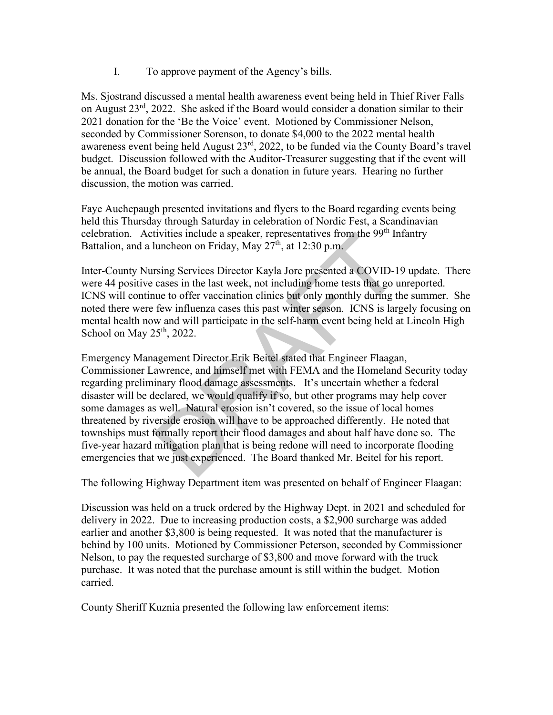I. To approve payment of the Agency's bills.

Ms. Sjostrand discussed a mental health awareness event being held in Thief River Falls on August 23rd, 2022. She asked if the Board would consider a donation similar to their 2021 donation for the 'Be the Voice' event. Motioned by Commissioner Nelson, seconded by Commissioner Sorenson, to donate \$4,000 to the 2022 mental health awareness event being held August  $23<sup>rd</sup>$ , 2022, to be funded via the County Board's travel budget. Discussion followed with the Auditor-Treasurer suggesting that if the event will be annual, the Board budget for such a donation in future years. Hearing no further discussion, the motion was carried.

Faye Auchepaugh presented invitations and flyers to the Board regarding events being held this Thursday through Saturday in celebration of Nordic Fest, a Scandinavian celebration. Activities include a speaker, representatives from the 99<sup>th</sup> Infantry Battalion, and a luncheon on Friday, May  $27<sup>th</sup>$ , at 12:30 p.m.

Inter-County Nursing Services Director Kayla Jore presented a COVID-19 update. There were 44 positive cases in the last week, not including home tests that go unreported. ICNS will continue to offer vaccination clinics but only monthly during the summer. She noted there were few influenza cases this past winter season. ICNS is largely focusing on mental health now and will participate in the self-harm event being held at Lincoln High School on May  $25<sup>th</sup>$ , 2022.

Emergency Management Director Erik Beitel stated that Engineer Flaagan, Commissioner Lawrence, and himself met with FEMA and the Homeland Security today regarding preliminary flood damage assessments. It's uncertain whether a federal disaster will be declared, we would qualify if so, but other programs may help cover some damages as well. Natural erosion isn't covered, so the issue of local homes threatened by riverside erosion will have to be approached differently. He noted that townships must formally report their flood damages and about half have done so. The five-year hazard mitigation plan that is being redone will need to incorporate flooding emergencies that we just experienced. The Board thanked Mr. Beitel for his report. tivities include a speaker, representatives from the 99<sup>th</sup> lincom on Friday, May  $27^{\text{th}}$ , at 12:30 p.m.<br>
rsing Services Director Kayla Jore presented a COVID-1<br>
cases in the last week, not including home tests that go

The following Highway Department item was presented on behalf of Engineer Flaagan:

Discussion was held on a truck ordered by the Highway Dept. in 2021 and scheduled for delivery in 2022. Due to increasing production costs, a \$2,900 surcharge was added earlier and another \$3,800 is being requested. It was noted that the manufacturer is behind by 100 units. Motioned by Commissioner Peterson, seconded by Commissioner Nelson, to pay the requested surcharge of \$3,800 and move forward with the truck purchase. It was noted that the purchase amount is still within the budget. Motion carried.

County Sheriff Kuznia presented the following law enforcement items: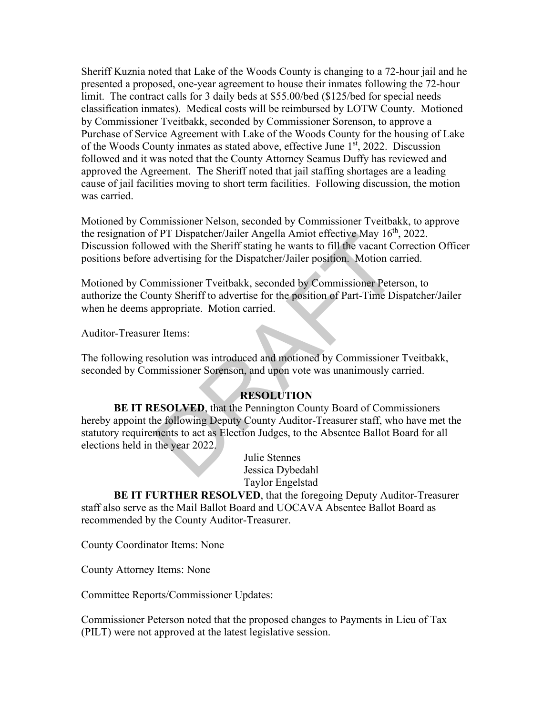Sheriff Kuznia noted that Lake of the Woods County is changing to a 72-hour jail and he presented a proposed, one-year agreement to house their inmates following the 72-hour limit. The contract calls for 3 daily beds at \$55.00/bed (\$125/bed for special needs classification inmates). Medical costs will be reimbursed by LOTW County. Motioned by Commissioner Tveitbakk, seconded by Commissioner Sorenson, to approve a Purchase of Service Agreement with Lake of the Woods County for the housing of Lake of the Woods County inmates as stated above, effective June  $1<sup>st</sup>$ , 2022. Discussion followed and it was noted that the County Attorney Seamus Duffy has reviewed and approved the Agreement. The Sheriff noted that jail staffing shortages are a leading cause of jail facilities moving to short term facilities. Following discussion, the motion was carried.

Motioned by Commissioner Nelson, seconded by Commissioner Tveitbakk, to approve the resignation of PT Dispatcher/Jailer Angella Amiot effective May  $16<sup>th</sup>$ , 2022. Discussion followed with the Sheriff stating he wants to fill the vacant Correction Officer positions before advertising for the Dispatcher/Jailer position. Motion carried.

Motioned by Commissioner Tveitbakk, seconded by Commissioner Peterson, to authorize the County Sheriff to advertise for the position of Part-Time Dispatcher/Jailer when he deems appropriate. Motion carried.

Auditor-Treasurer Items:

The following resolution was introduced and motioned by Commissioner Tveitbakk, seconded by Commissioner Sorenson, and upon vote was unanimously carried.

#### **RESOLUTION**

**BE IT RESOLVED**, that the Pennington County Board of Commissioners hereby appoint the following Deputy County Auditor-Treasurer staff, who have met the statutory requirements to act as Election Judges, to the Absentee Ballot Board for all elections held in the year 2022. The PT Dispatcher/Jailer Angella Amiot effective May 16",<br>
wed with the Sheriff stating he wants to fill the vacant Comparent Cadvertising for the Dispatcher/Jailer position. Motion ca<br>
mmissioner Tveitbakk, seconded by Co

 Julie Stennes Jessica Dybedahl Taylor Engelstad

**BE IT FURTHER RESOLVED**, that the foregoing Deputy Auditor-Treasurer staff also serve as the Mail Ballot Board and UOCAVA Absentee Ballot Board as recommended by the County Auditor-Treasurer.

County Coordinator Items: None

County Attorney Items: None

Committee Reports/Commissioner Updates:

Commissioner Peterson noted that the proposed changes to Payments in Lieu of Tax (PILT) were not approved at the latest legislative session.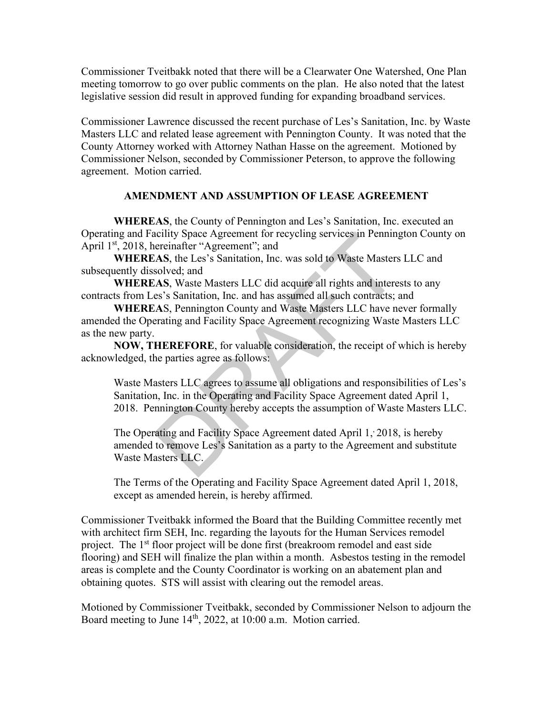Commissioner Tveitbakk noted that there will be a Clearwater One Watershed, One Plan meeting tomorrow to go over public comments on the plan. He also noted that the latest legislative session did result in approved funding for expanding broadband services.

Commissioner Lawrence discussed the recent purchase of Les's Sanitation, Inc. by Waste Masters LLC and related lease agreement with Pennington County. It was noted that the County Attorney worked with Attorney Nathan Hasse on the agreement. Motioned by Commissioner Nelson, seconded by Commissioner Peterson, to approve the following agreement. Motion carried.

#### **AMENDMENT AND ASSUMPTION OF LEASE AGREEMENT**

**WHEREAS**, the County of Pennington and Les's Sanitation, Inc. executed an Operating and Facility Space Agreement for recycling services in Pennington County on April 1<sup>st</sup>, 2018, hereinafter "Agreement"; and

**WHEREAS**, the Les's Sanitation, Inc. was sold to Waste Masters LLC and subsequently dissolved; and

**WHEREAS**, Waste Masters LLC did acquire all rights and interests to any contracts from Les's Sanitation, Inc. and has assumed all such contracts; and

**WHEREA**S, Pennington County and Waste Masters LLC have never formally amended the Operating and Facility Space Agreement recognizing Waste Masters LLC as the new party.

**NOW, THEREFORE**, for valuable consideration, the receipt of which is hereby acknowledged, the parties agree as follows:

Waste Masters LLC agrees to assume all obligations and responsibilities of Les's Sanitation, Inc. in the Operating and Facility Space Agreement dated April 1, 2018. Pennington County hereby accepts the assumption of Waste Masters LLC. icility Space Agreement for recycling services in Penning<br>ereinafter "Agreement"; and<br>AS, the Les's Sanitation, Inc. was sold to Waste Masters<br>solved; and<br>AS, Waste Masters LLC did acquire all rights and intere<br>es's Sanita

The Operating and Facility Space Agreement dated April 1, 2018, is hereby amended to remove Les's Sanitation as a party to the Agreement and substitute Waste Masters LLC.

The Terms of the Operating and Facility Space Agreement dated April 1, 2018, except as amended herein, is hereby affirmed.

Commissioner Tveitbakk informed the Board that the Building Committee recently met with architect firm SEH, Inc. regarding the layouts for the Human Services remodel project. The 1<sup>st</sup> floor project will be done first (breakroom remodel and east side flooring) and SEH will finalize the plan within a month. Asbestos testing in the remodel areas is complete and the County Coordinator is working on an abatement plan and obtaining quotes. STS will assist with clearing out the remodel areas.

Motioned by Commissioner Tveitbakk, seconded by Commissioner Nelson to adjourn the Board meeting to June 14<sup>th</sup>, 2022, at 10:00 a.m. Motion carried.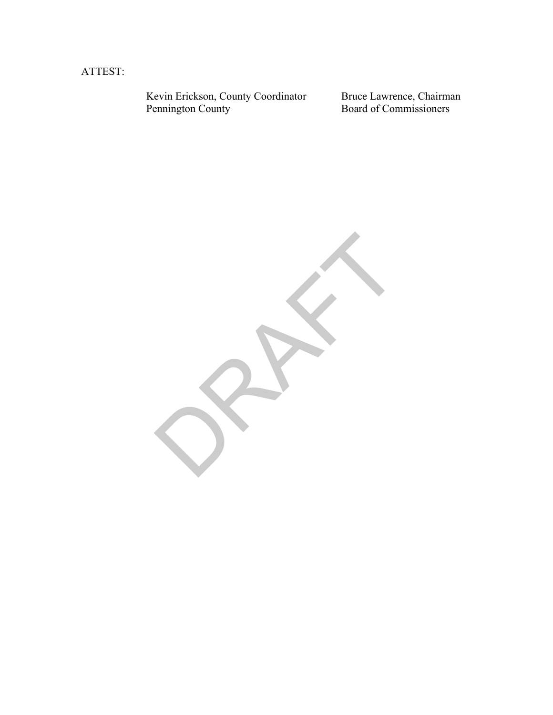ATTEST:

Kevin Erickson, County Coordinator Bruce Lawrence, Chairman Pennington County **Board of Commissioners** 

RAFT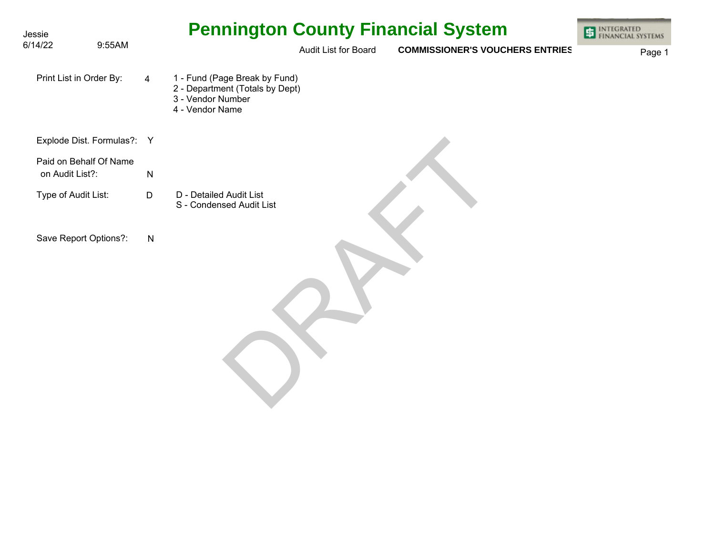| Jessie                                    |           | <b>Pennington County Financial System</b>                                                                | <b>INTEGRATED</b><br>FINANCIAL SYSTEMS |
|-------------------------------------------|-----------|----------------------------------------------------------------------------------------------------------|----------------------------------------|
| 6/14/22<br>9:55AM                         |           | Audit List for Board<br><b>COMMISSIONER'S VOUCHERS ENTRIES</b>                                           | Page 1                                 |
| Print List in Order By:                   | 4         | 1 - Fund (Page Break by Fund)<br>2 - Department (Totals by Dept)<br>3 - Vendor Number<br>4 - Vendor Name |                                        |
| Explode Dist. Formulas?: Y                |           |                                                                                                          |                                        |
| Paid on Behalf Of Name<br>on Audit List?: | ${\sf N}$ |                                                                                                          |                                        |
| Type of Audit List:                       | D         | D - Detailed Audit List<br>S - Condensed Audit List                                                      |                                        |
| Save Report Options?:                     | ${\sf N}$ |                                                                                                          |                                        |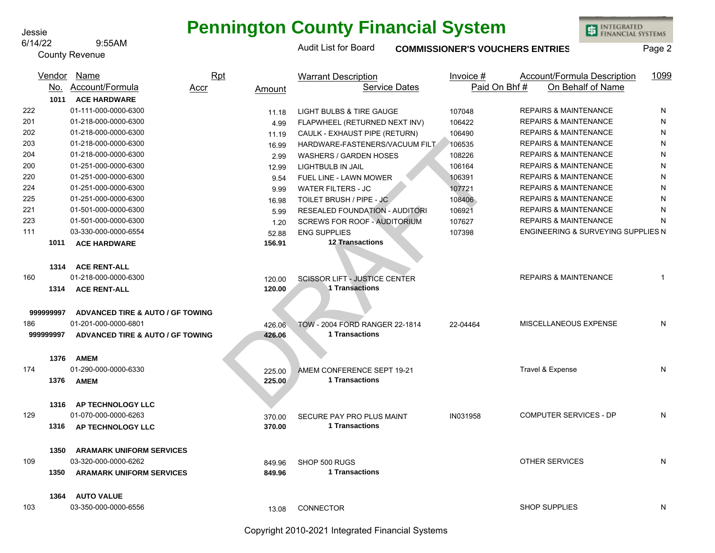#### 6/14/22 9:55AM

County Revenue

## **Pennington County Financial System**

Audit List for Board **COMMISSIONER'S VOUCHERS ENTRIES** Page 2

INTEGRATED<br>FINANCIAL SYSTEMS

|           | Vendor | <b>Name</b>                                 | <b>Rpt</b> |                  | <b>Warrant Description</b>             | Invoice #    | Account/Formula Description        | 1099 |
|-----------|--------|---------------------------------------------|------------|------------------|----------------------------------------|--------------|------------------------------------|------|
|           | No.    | Account/Formula                             | Accr       | Amount           | <b>Service Dates</b>                   | Paid On Bhf# | On Behalf of Name                  |      |
|           | 1011   | <b>ACE HARDWARE</b>                         |            |                  |                                        |              |                                    |      |
| 222       |        | 01-111-000-0000-6300                        |            | 11.18            | <b>LIGHT BULBS &amp; TIRE GAUGE</b>    | 107048       | <b>REPAIRS &amp; MAINTENANCE</b>   | N    |
| 201       |        | 01-218-000-0000-6300                        |            | 4.99             | FLAPWHEEL (RETURNED NEXT INV)          | 106422       | <b>REPAIRS &amp; MAINTENANCE</b>   | N    |
| 202       |        | 01-218-000-0000-6300                        |            | 11.19            | CAULK - EXHAUST PIPE (RETURN)          | 106490       | <b>REPAIRS &amp; MAINTENANCE</b>   | N    |
| 203       |        | 01-218-000-0000-6300                        |            | 16.99            | HARDWARE-FASTENERS/VACUUM FILT         | 106535       | <b>REPAIRS &amp; MAINTENANCE</b>   | N    |
| 204       |        | 01-218-000-0000-6300                        |            | 2.99             | <b>WASHERS / GARDEN HOSES</b>          | 108226       | <b>REPAIRS &amp; MAINTENANCE</b>   | N    |
| 200       |        | 01-251-000-0000-6300                        |            | 12.99            | LIGHTBULB IN JAIL                      | 106164       | <b>REPAIRS &amp; MAINTENANCE</b>   | N    |
| 220       |        | 01-251-000-0000-6300                        |            | 9.54             | FUEL LINE - LAWN MOWER                 | 106391       | <b>REPAIRS &amp; MAINTENANCE</b>   | N    |
| 224       |        | 01-251-000-0000-6300                        |            | 9.99             | <b>WATER FILTERS - JC</b>              | 107721       | <b>REPAIRS &amp; MAINTENANCE</b>   | N    |
| 225       |        | 01-251-000-0000-6300                        |            | 16.98            | TOILET BRUSH / PIPE - JC               | 108406       | <b>REPAIRS &amp; MAINTENANCE</b>   | N    |
| 221       |        | 01-501-000-0000-6300                        |            | 5.99             | <b>RESEALED FOUNDATION - AUDITORI</b>  | 106921       | <b>REPAIRS &amp; MAINTENANCE</b>   | N    |
| 223       |        | 01-501-000-0000-6300                        |            | 1.20             | <b>SCREWS FOR ROOF - AUDITORIUM</b>    | 107627       | <b>REPAIRS &amp; MAINTENANCE</b>   | N    |
| 111       |        | 03-330-000-0000-6554                        |            | 52.88            | <b>ENG SUPPLIES</b>                    | 107398       | ENGINEERING & SURVEYING SUPPLIES N |      |
|           | 1011   | <b>ACE HARDWARE</b>                         |            | 156.91           | <b>12 Transactions</b>                 |              |                                    |      |
|           |        |                                             |            |                  |                                        |              |                                    |      |
|           | 1314   | <b>ACE RENT-ALL</b>                         |            |                  |                                        |              |                                    |      |
| 160       |        | 01-218-000-0000-6300                        |            | 120.00           | <b>SCISSOR LIFT - JUSTICE CENTER</b>   |              | <b>REPAIRS &amp; MAINTENANCE</b>   | 1    |
|           | 1314   | <b>ACE RENT-ALL</b>                         |            | 120.00           | 1 Transactions                         |              |                                    |      |
|           |        |                                             |            |                  |                                        |              |                                    |      |
| 999999997 |        | <b>ADVANCED TIRE &amp; AUTO / GF TOWING</b> |            |                  |                                        |              |                                    |      |
| 186       |        | 01-201-000-0000-6801                        |            | 426.06           | TOW - 2004 FORD RANGER 22-1814         | 22-04464     | MISCELLANEOUS EXPENSE              | N    |
| 999999997 |        | <b>ADVANCED TIRE &amp; AUTO / GF TOWING</b> |            | 426.06           | <b>1 Transactions</b>                  |              |                                    |      |
|           |        |                                             |            |                  |                                        |              |                                    |      |
|           | 1376   | <b>AMEM</b>                                 |            |                  |                                        |              |                                    |      |
| 174       |        | 01-290-000-0000-6330                        |            | 225.00           | AMEM CONFERENCE SEPT 19-21             |              | Travel & Expense                   | N    |
|           | 1376   | <b>AMEM</b>                                 |            | 225.00           | 1 Transactions                         |              |                                    |      |
|           |        |                                             |            |                  |                                        |              |                                    |      |
|           | 1316   | AP TECHNOLOGY LLC                           |            |                  |                                        |              |                                    |      |
| 129       |        | 01-070-000-0000-6263                        |            | 370.00           | SECURE PAY PRO PLUS MAINT              | IN031958     | <b>COMPUTER SERVICES - DP</b>      | N    |
|           | 1316   | AP TECHNOLOGY LLC                           |            | 370.00           | 1 Transactions                         |              |                                    |      |
|           |        |                                             |            |                  |                                        |              |                                    |      |
|           | 1350   | <b>ARAMARK UNIFORM SERVICES</b>             |            |                  |                                        |              |                                    |      |
| 109       |        | 03-320-000-0000-6262                        |            |                  |                                        |              | <b>OTHER SERVICES</b>              | N    |
|           | 1350   |                                             |            | 849.96<br>849.96 | SHOP 500 RUGS<br><b>1 Transactions</b> |              |                                    |      |
|           |        | <b>ARAMARK UNIFORM SERVICES</b>             |            |                  |                                        |              |                                    |      |
|           |        |                                             |            |                  |                                        |              |                                    |      |
|           | 1364   | <b>AUTO VALUE</b>                           |            |                  |                                        |              |                                    |      |
| 103       |        | 03-350-000-0000-6556                        |            | 13.08            | <b>CONNECTOR</b>                       |              | <b>SHOP SUPPLIES</b>               | N    |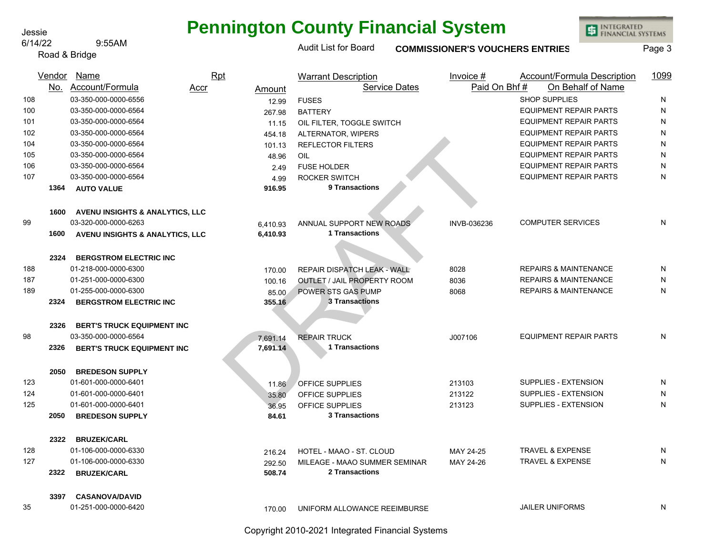### 6/14/22 9:55AM

Road & Bridge

# **Pennington County Financial System**

Audit List for Board **COMMISSIONER'S VOUCHERS ENTRIES** Page 3

INTEGRATED<br>FINANCIAL SYSTEMS

|     | Vendor | Name                                       | Rpt  |          | <b>Warrant Description</b>         | Invoice #    | Account/Formula Description      | 1099      |
|-----|--------|--------------------------------------------|------|----------|------------------------------------|--------------|----------------------------------|-----------|
|     |        | No. Account/Formula                        | Accr | Amount   | <b>Service Dates</b>               | Paid On Bhf# | On Behalf of Name                |           |
| 108 |        | 03-350-000-0000-6556                       |      | 12.99    | <b>FUSES</b>                       |              | <b>SHOP SUPPLIES</b>             | N         |
| 100 |        | 03-350-000-0000-6564                       |      | 267.98   | <b>BATTERY</b>                     |              | <b>EQUIPMENT REPAIR PARTS</b>    | ${\sf N}$ |
| 101 |        | 03-350-000-0000-6564                       |      | 11.15    | OIL FILTER, TOGGLE SWITCH          |              | <b>EQUIPMENT REPAIR PARTS</b>    | ${\sf N}$ |
| 102 |        | 03-350-000-0000-6564                       |      | 454.18   | ALTERNATOR, WIPERS                 |              | <b>EQUIPMENT REPAIR PARTS</b>    | ${\sf N}$ |
| 104 |        | 03-350-000-0000-6564                       |      | 101.13   | <b>REFLECTOR FILTERS</b>           |              | <b>EQUIPMENT REPAIR PARTS</b>    | ${\sf N}$ |
| 105 |        | 03-350-000-0000-6564                       |      | 48.96    | OIL                                |              | <b>EQUIPMENT REPAIR PARTS</b>    | ${\sf N}$ |
| 106 |        | 03-350-000-0000-6564                       |      | 2.49     | <b>FUSE HOLDER</b>                 |              | <b>EQUIPMENT REPAIR PARTS</b>    | ${\sf N}$ |
| 107 |        | 03-350-000-0000-6564                       |      | 4.99     | <b>ROCKER SWITCH</b>               |              | <b>EQUIPMENT REPAIR PARTS</b>    | ${\sf N}$ |
|     | 1364   | <b>AUTO VALUE</b>                          |      | 916.95   | 9 Transactions                     |              |                                  |           |
|     | 1600   | AVENU INSIGHTS & ANALYTICS, LLC            |      |          |                                    |              |                                  |           |
| 99  |        | 03-320-000-0000-6263                       |      | 6,410.93 | ANNUAL SUPPORT NEW ROADS           | INVB-036236  | <b>COMPUTER SERVICES</b>         | N         |
|     | 1600   | <b>AVENU INSIGHTS &amp; ANALYTICS, LLC</b> |      | 6,410.93 | 1 Transactions                     |              |                                  |           |
|     | 2324   | <b>BERGSTROM ELECTRIC INC</b>              |      |          |                                    |              |                                  |           |
| 188 |        | 01-218-000-0000-6300                       |      | 170.00   | REPAIR DISPATCH LEAK - WALL        | 8028         | <b>REPAIRS &amp; MAINTENANCE</b> | N         |
| 187 |        | 01-251-000-0000-6300                       |      | 100.16   | <b>OUTLET / JAIL PROPERTY ROOM</b> | 8036         | <b>REPAIRS &amp; MAINTENANCE</b> | N         |
| 189 |        | 01-255-000-0000-6300                       |      | 85.00    | POWER STS GAS PUMP                 | 8068         | <b>REPAIRS &amp; MAINTENANCE</b> | N         |
|     | 2324   | <b>BERGSTROM ELECTRIC INC</b>              |      | 355.16   | <b>3 Transactions</b>              |              |                                  |           |
|     | 2326   | <b>BERT'S TRUCK EQUIPMENT INC</b>          |      |          |                                    |              |                                  |           |
| 98  |        | 03-350-000-0000-6564                       |      | 7,691.14 | <b>REPAIR TRUCK</b>                | J007106      | <b>EQUIPMENT REPAIR PARTS</b>    | ${\sf N}$ |
|     | 2326   | <b>BERT'S TRUCK EQUIPMENT INC</b>          |      | 7,691.14 | 1 Transactions                     |              |                                  |           |
|     | 2050   | <b>BREDESON SUPPLY</b>                     |      |          |                                    |              |                                  |           |
| 123 |        | 01-601-000-0000-6401                       |      | 11.86    | <b>OFFICE SUPPLIES</b>             | 213103       | SUPPLIES - EXTENSION             | N         |
| 124 |        | 01-601-000-0000-6401                       |      | 35.80    | OFFICE SUPPLIES                    | 213122       | SUPPLIES - EXTENSION             | N         |
| 125 |        | 01-601-000-0000-6401                       |      | 36.95    | OFFICE SUPPLIES                    | 213123       | SUPPLIES - EXTENSION             | ${\sf N}$ |
|     | 2050   | <b>BREDESON SUPPLY</b>                     |      | 84.61    | <b>3 Transactions</b>              |              |                                  |           |
|     | 2322   | <b>BRUZEK/CARL</b>                         |      |          |                                    |              |                                  |           |
| 128 |        | 01-106-000-0000-6330                       |      | 216.24   | HOTEL - MAAO - ST. CLOUD           | MAY 24-25    | <b>TRAVEL &amp; EXPENSE</b>      | N         |
| 127 |        | 01-106-000-0000-6330                       |      | 292.50   | MILEAGE - MAAO SUMMER SEMINAR      | MAY 24-26    | <b>TRAVEL &amp; EXPENSE</b>      | N         |
|     | 2322   | <b>BRUZEK/CARL</b>                         |      | 508.74   | 2 Transactions                     |              |                                  |           |
|     | 3397   | <b>CASANOVA/DAVID</b>                      |      |          |                                    |              |                                  |           |
| 35  |        | 01-251-000-0000-6420                       |      | 170.00   | UNIFORM ALLOWANCE REEIMBURSE       |              | <b>JAILER UNIFORMS</b>           | N         |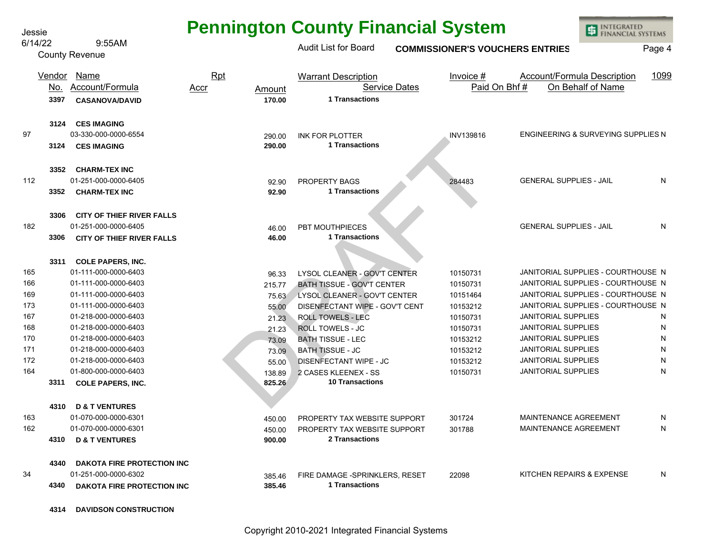| Jessie |         |                                   |                |                                                | <b>Pennington County Financial System</b> |                                | INTEGRATED<br>FINANCIAL SYSTEMS    |
|--------|---------|-----------------------------------|----------------|------------------------------------------------|-------------------------------------------|--------------------------------|------------------------------------|
|        | 6/14/22 | 9:55AM                            |                | Audit List for Board                           | <b>COMMISSIONER'S VOUCHERS ENTRIES</b>    |                                | Page 4                             |
|        |         | <b>County Revenue</b>             |                |                                                |                                           |                                |                                    |
|        |         | Vendor Name                       | Rpt            | <b>Warrant Description</b>                     | Invoice #                                 | Account/Formula Description    | 1099                               |
|        | No.     | Account/Formula                   | Accr<br>Amount | <b>Service Dates</b>                           | Paid On Bhf#                              |                                | On Behalf of Name                  |
|        | 3397    | <b>CASANOVA/DAVID</b>             | 170.00         | 1 Transactions                                 |                                           |                                |                                    |
|        | 3124    | <b>CES IMAGING</b>                |                |                                                |                                           |                                |                                    |
| 97     |         | 03-330-000-0000-6554              | 290.00         | <b>INK FOR PLOTTER</b>                         | INV139816                                 |                                | ENGINEERING & SURVEYING SUPPLIES N |
|        | 3124    | <b>CES IMAGING</b>                | 290.00         | 1 Transactions                                 |                                           |                                |                                    |
|        | 3352    | <b>CHARM-TEX INC</b>              |                |                                                |                                           |                                |                                    |
| 112    |         | 01-251-000-0000-6405              | 92.90          | PROPERTY BAGS                                  | 284483                                    | <b>GENERAL SUPPLIES - JAIL</b> | N                                  |
|        | 3352    | <b>CHARM-TEX INC</b>              | 92.90          | 1 Transactions                                 |                                           |                                |                                    |
|        | 3306    | <b>CITY OF THIEF RIVER FALLS</b>  |                |                                                |                                           |                                |                                    |
| 182    |         | 01-251-000-0000-6405              | 46.00          | PBT MOUTHPIECES                                |                                           | <b>GENERAL SUPPLIES - JAIL</b> | N                                  |
|        | 3306    | <b>CITY OF THIEF RIVER FALLS</b>  | 46.00          | 1 Transactions                                 |                                           |                                |                                    |
|        | 3311    | <b>COLE PAPERS, INC.</b>          |                |                                                |                                           |                                |                                    |
| 165    |         | 01-111-000-0000-6403              | 96.33          | LYSOL CLEANER - GOV'T CENTER                   | 10150731                                  |                                | JANITORIAL SUPPLIES - COURTHOUSE N |
| 166    |         | 01-111-000-0000-6403              | 215.77         | <b>BATH TISSUE - GOV'T CENTER</b>              | 10150731                                  |                                | JANITORIAL SUPPLIES - COURTHOUSE N |
| 169    |         | 01-111-000-0000-6403              | 75.63          | LYSOL CLEANER - GOV'T CENTER                   | 10151464                                  |                                | JANITORIAL SUPPLIES - COURTHOUSE N |
| 173    |         | 01-111-000-0000-6403              | 55.00          | DISENFECTANT WIPE - GOV'T CENT                 | 10153212                                  |                                | JANITORIAL SUPPLIES - COURTHOUSE N |
| 167    |         | 01-218-000-0000-6403              | 21.23          | <b>ROLL TOWELS - LEC</b>                       | 10150731                                  | <b>JANITORIAL SUPPLIES</b>     | N                                  |
| 168    |         | 01-218-000-0000-6403              | 21.23          | ROLL TOWELS - JC                               | 10150731                                  | <b>JANITORIAL SUPPLIES</b>     | N                                  |
| 170    |         | 01-218-000-0000-6403              | 73.09          | <b>BATH TISSUE - LEC</b>                       | 10153212                                  | <b>JANITORIAL SUPPLIES</b>     | N                                  |
| 171    |         | 01-218-000-0000-6403              | 73.09          | <b>BATH TISSUE - JC</b>                        | 10153212                                  | <b>JANITORIAL SUPPLIES</b>     | N                                  |
| 172    |         | 01-218-000-0000-6403              | 55.00          | <b>DISENFECTANT WIPE - JC</b>                  | 10153212                                  | <b>JANITORIAL SUPPLIES</b>     | N                                  |
| 164    |         | 01-800-000-0000-6403              | 138.89         | 2 CASES KLEENEX - SS<br><b>10 Transactions</b> | 10150731                                  | <b>JANITORIAL SUPPLIES</b>     | N                                  |
|        | 3311    | <b>COLE PAPERS, INC.</b>          | 825.26         |                                                |                                           |                                |                                    |
|        | 4310    | <b>D &amp; T VENTURES</b>         |                |                                                |                                           |                                |                                    |
| 163    |         | 01-070-000-0000-6301              | 450.00         | PROPERTY TAX WEBSITE SUPPORT                   | 301724                                    | <b>MAINTENANCE AGREEMENT</b>   | N                                  |
| 162    |         | 01-070-000-0000-6301              | 450.00         | PROPERTY TAX WEBSITE SUPPORT                   | 301788                                    | MAINTENANCE AGREEMENT          | N                                  |
|        | 4310    | <b>D &amp; T VENTURES</b>         | 900.00         | <b>2 Transactions</b>                          |                                           |                                |                                    |
|        | 4340    | DAKOTA FIRE PROTECTION INC        |                |                                                |                                           |                                |                                    |
| 34     |         | 01-251-000-0000-6302              | 385.46         | FIRE DAMAGE -SPRINKLERS, RESET                 | 22098                                     | KITCHEN REPAIRS & EXPENSE      | N.                                 |
|        | 4340    | <b>DAKOTA FIRE PROTECTION INC</b> | 385.46         | 1 Transactions                                 |                                           |                                |                                    |
|        |         |                                   |                |                                                |                                           |                                |                                    |

**4314 DAVIDSON CONSTRUCTION**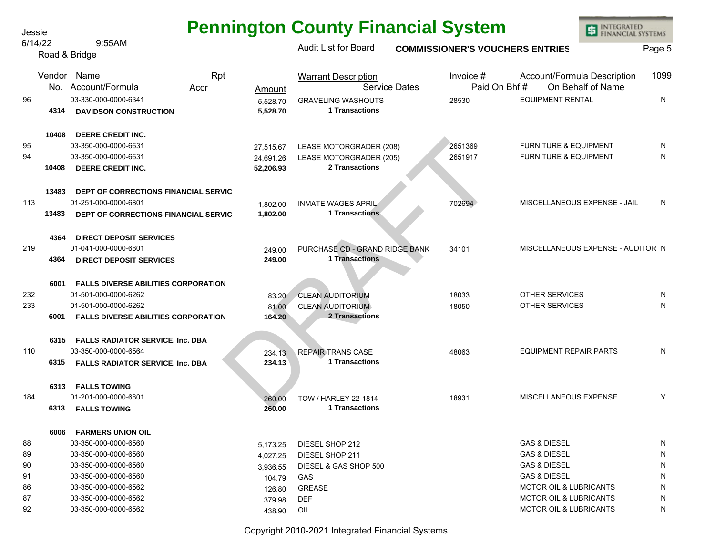| Jessie |         |                                            |                      | <b>Pennington County Financial System</b> |                                        | <b>INTEGRATED<br/>FINANCIAL SYSTEMS</b> |        |
|--------|---------|--------------------------------------------|----------------------|-------------------------------------------|----------------------------------------|-----------------------------------------|--------|
|        | 6/14/22 | 9:55AM                                     |                      | <b>Audit List for Board</b>               | <b>COMMISSIONER'S VOUCHERS ENTRIES</b> |                                         | Page 5 |
|        |         | Road & Bridge                              |                      |                                           |                                        |                                         |        |
|        |         | Vendor Name<br><b>Rpt</b>                  |                      | <b>Warrant Description</b>                | Invoice #                              | <b>Account/Formula Description</b>      | 1099   |
|        |         | No. Account/Formula<br>Accr                | Amount               | <b>Service Dates</b>                      | Paid On Bhf#                           | On Behalf of Name                       |        |
| 96     |         | 03-330-000-0000-6341                       | 5,528.70             | <b>GRAVELING WASHOUTS</b>                 | 28530                                  | <b>EQUIPMENT RENTAL</b>                 | N      |
|        | 4314    | <b>DAVIDSON CONSTRUCTION</b>               | 5,528.70             | 1 Transactions                            |                                        |                                         |        |
|        | 10408   | DEERE CREDIT INC.                          |                      |                                           |                                        |                                         |        |
| 95     |         | 03-350-000-0000-6631                       | 27,515.67            | LEASE MOTORGRADER (208)                   | 2651369                                | <b>FURNITURE &amp; EQUIPMENT</b>        | N      |
| 94     |         | 03-350-000-0000-6631                       | 24,691.26            | LEASE MOTORGRADER (205)                   | 2651917                                | <b>FURNITURE &amp; EQUIPMENT</b>        | N      |
|        | 10408   | <b>DEERE CREDIT INC.</b>                   | 52,206.93            | 2 Transactions                            |                                        |                                         |        |
|        | 13483   | DEPT OF CORRECTIONS FINANCIAL SERVICE      |                      |                                           |                                        |                                         |        |
| 113    |         | 01-251-000-0000-6801                       | 1,802.00             | <b>INMATE WAGES APRIL</b>                 | 702694                                 | MISCELLANEOUS EXPENSE - JAIL            | N      |
|        | 13483   | DEPT OF CORRECTIONS FINANCIAL SERVICI      | 1,802.00             | 1 Transactions                            |                                        |                                         |        |
|        | 4364    | <b>DIRECT DEPOSIT SERVICES</b>             |                      |                                           |                                        |                                         |        |
| 219    |         | 01-041-000-0000-6801                       | 249.00               | PURCHASE CD - GRAND RIDGE BANK            | 34101                                  | MISCELLANEOUS EXPENSE - AUDITOR N       |        |
|        | 4364    | <b>DIRECT DEPOSIT SERVICES</b>             | 249.00               | 1 Transactions                            |                                        |                                         |        |
|        |         |                                            |                      |                                           |                                        |                                         |        |
|        | 6001    | <b>FALLS DIVERSE ABILITIES CORPORATION</b> |                      |                                           |                                        |                                         |        |
| 232    |         | 01-501-000-0000-6262                       | 83.20                | <b>CLEAN AUDITORIUM</b>                   | 18033                                  | OTHER SERVICES                          | N      |
| 233    |         | 01-501-000-0000-6262                       | 81.00                | <b>CLEAN AUDITORIUM</b>                   | 18050                                  | <b>OTHER SERVICES</b>                   | N      |
|        | 6001    | <b>FALLS DIVERSE ABILITIES CORPORATION</b> | 164.20               | 2 Transactions                            |                                        |                                         |        |
|        | 6315    | <b>FALLS RADIATOR SERVICE, Inc. DBA</b>    |                      |                                           |                                        |                                         |        |
| 110    |         | 03-350-000-0000-6564                       | 234.13               | <b>REPAIR TRANS CASE</b>                  | 48063                                  | <b>EQUIPMENT REPAIR PARTS</b>           | N      |
|        | 6315    | FALLS RADIATOR SERVICE, Inc. DBA           | 234.13               | 1 Transactions                            |                                        |                                         |        |
|        | 6313    | <b>FALLS TOWING</b>                        |                      |                                           |                                        |                                         |        |
| 184    |         | 01-201-000-0000-6801                       | 260.00               | <b>TOW / HARLEY 22-1814</b>               | 18931                                  | MISCELLANEOUS EXPENSE                   | Y      |
|        | 6313    | <b>FALLS TOWING</b>                        | 260.00               | 1 Transactions                            |                                        |                                         |        |
|        | 6006    | <b>FARMERS UNION OIL</b>                   |                      |                                           |                                        |                                         |        |
| 88     |         | 03-350-000-0000-6560                       |                      | DIESEL SHOP 212                           |                                        | <b>GAS &amp; DIESEL</b>                 | N      |
| 89     |         | 03-350-000-0000-6560                       | 5,173.25<br>4,027.25 | DIESEL SHOP 211                           |                                        | <b>GAS &amp; DIESEL</b>                 | N      |
| 90     |         | 03-350-000-0000-6560                       | 3,936.55             | DIESEL & GAS SHOP 500                     |                                        | <b>GAS &amp; DIESEL</b>                 | N      |
| 91     |         | 03-350-000-0000-6560                       | 104.79               | GAS                                       |                                        | <b>GAS &amp; DIESEL</b>                 | N      |
| 86     |         | 03-350-000-0000-6562                       | 126.80               | <b>GREASE</b>                             |                                        | <b>MOTOR OIL &amp; LUBRICANTS</b>       | N      |
| 87     |         | 03-350-000-0000-6562                       | 379.98               | <b>DEF</b>                                |                                        | <b>MOTOR OIL &amp; LUBRICANTS</b>       | N      |
| 92     |         | 03-350-000-0000-6562                       | 438.90               | OIL                                       |                                        | <b>MOTOR OIL &amp; LUBRICANTS</b>       | N      |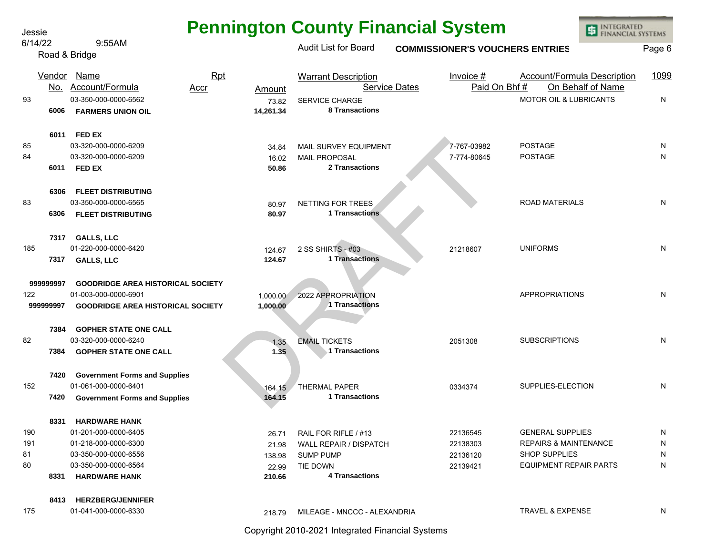| Jessie    |               |                                                  |                              |                                                    | <b>Pennington County Financial System</b> | <b>INTEGRATED</b><br><b>FINANCIAL SYSTEMS</b>    |        |
|-----------|---------------|--------------------------------------------------|------------------------------|----------------------------------------------------|-------------------------------------------|--------------------------------------------------|--------|
| 6/14/22   |               | 9:55AM<br>Road & Bridge                          |                              | <b>Audit List for Board</b>                        | <b>COMMISSIONER'S VOUCHERS ENTRIES</b>    |                                                  | Page 6 |
|           | Vendor<br>No. | Name<br><u>Account/Formula</u><br>Accr           | Rpt                          | <b>Warrant Description</b><br><b>Service Dates</b> | Invoice #<br>Paid On Bhf#                 | Account/Formula Description<br>On Behalf of Name | 1099   |
| 93        | 6006          | 03-350-000-0000-6562<br><b>FARMERS UNION OIL</b> | Amount<br>73.82<br>14,261.34 | <b>SERVICE CHARGE</b><br>8 Transactions            |                                           | MOTOR OIL & LUBRICANTS                           | N      |
|           | 6011          | <b>FED EX</b>                                    |                              |                                                    |                                           |                                                  |        |
| 85        |               | 03-320-000-0000-6209                             | 34.84                        | MAIL SURVEY EQUIPMENT                              | 7-767-03982                               | <b>POSTAGE</b>                                   | N      |
| 84        |               | 03-320-000-0000-6209                             | 16.02                        | <b>MAIL PROPOSAL</b>                               | 7-774-80645                               | <b>POSTAGE</b>                                   | N      |
|           | 6011          | <b>FED EX</b>                                    | 50.86                        | 2 Transactions                                     |                                           |                                                  |        |
|           | 6306          | <b>FLEET DISTRIBUTING</b>                        |                              |                                                    |                                           |                                                  |        |
| 83        |               | 03-350-000-0000-6565                             | 80.97                        | NETTING FOR TREES                                  |                                           | <b>ROAD MATERIALS</b>                            | N      |
|           | 6306          | <b>FLEET DISTRIBUTING</b>                        | 80.97                        | <b>1 Transactions</b>                              |                                           |                                                  |        |
|           | 7317          | <b>GALLS, LLC</b>                                |                              |                                                    |                                           |                                                  |        |
| 185       |               | 01-220-000-0000-6420                             | 124.67                       | 2 SS SHIRTS - #03                                  | 21218607                                  | <b>UNIFORMS</b>                                  | N      |
|           | 7317          | <b>GALLS, LLC</b>                                | 124.67                       | <b>1 Transactions</b>                              |                                           |                                                  |        |
| 999999997 |               | <b>GOODRIDGE AREA HISTORICAL SOCIETY</b>         |                              |                                                    |                                           |                                                  |        |
| 122       |               | 01-003-000-0000-6901                             | 1,000.00                     | 2022 APPROPRIATION                                 |                                           | <b>APPROPRIATIONS</b>                            | N      |
| 999999997 |               | <b>GOODRIDGE AREA HISTORICAL SOCIETY</b>         | 1,000.00                     | 1 Transactions                                     |                                           |                                                  |        |
|           | 7384          | <b>GOPHER STATE ONE CALL</b>                     |                              |                                                    |                                           |                                                  |        |
| 82        |               | 03-320-000-0000-6240                             | 1.35                         | <b>EMAIL TICKETS</b>                               | 2051308                                   | <b>SUBSCRIPTIONS</b>                             | N      |
|           | 7384          | <b>GOPHER STATE ONE CALL</b>                     | 1.35                         | 1 Transactions                                     |                                           |                                                  |        |
|           | 7420          | <b>Government Forms and Supplies</b>             |                              |                                                    |                                           |                                                  |        |
| 152       |               | 01-061-000-0000-6401                             | 164.15                       | <b>THERMAL PAPER</b>                               | 0334374                                   | SUPPLIES-ELECTION                                | N      |
|           | 7420          | <b>Government Forms and Supplies</b>             | 164.15                       | 1 Transactions                                     |                                           |                                                  |        |
|           | 8331          | <b>HARDWARE HANK</b>                             |                              |                                                    |                                           |                                                  |        |
| 190       |               | 01-201-000-0000-6405                             | 26.71                        | RAIL FOR RIFLE / #13                               | 22136545                                  | <b>GENERAL SUPPLIES</b>                          | N      |
| 191       |               | 01-218-000-0000-6300                             | 21.98                        | WALL REPAIR / DISPATCH                             | 22138303                                  | <b>REPAIRS &amp; MAINTENANCE</b>                 | N      |
| 81        |               | 03-350-000-0000-6556                             | 138.98                       | SUMP PUMP                                          | 22136120                                  | <b>SHOP SUPPLIES</b>                             | N      |
| 80        |               | 03-350-000-0000-6564                             | 22.99                        | TIE DOWN                                           | 22139421                                  | <b>EQUIPMENT REPAIR PARTS</b>                    | N      |
|           | 8331          | <b>HARDWARE HANK</b>                             | 210.66                       | <b>4 Transactions</b>                              |                                           |                                                  |        |
|           | 8413          | <b>HERZBERG/JENNIFER</b>                         |                              |                                                    |                                           |                                                  |        |
| 175       |               | 01-041-000-0000-6330                             | 218.79                       | MILEAGE - MNCCC - ALEXANDRIA                       |                                           | <b>TRAVEL &amp; EXPENSE</b>                      | N      |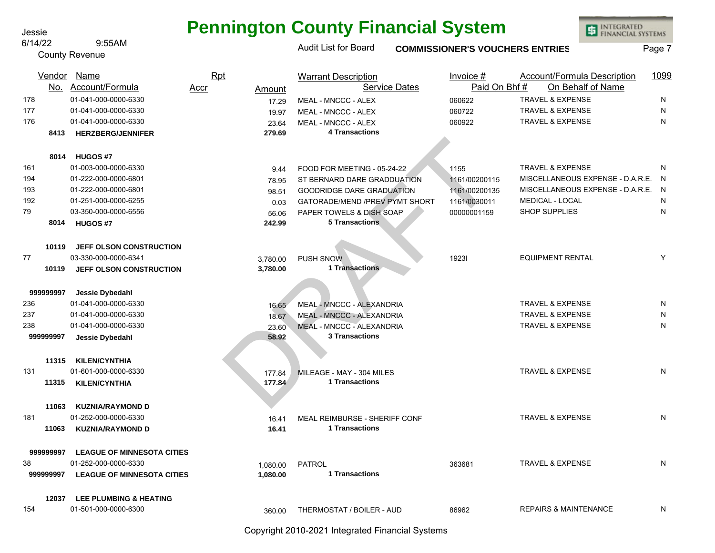#### 6/14/22 9:55AM

## **Pennington County Financial System**

INTEGRATED<br>FINANCIAL SYSTEMS

|     |           | 3.JJMI<br><b>County Revenue</b>   |                  | <b>Audit List for Board</b>                 | <b>COMMISSIONER'S VOUCHERS ENTRIES</b> |                                    | Page 7       |
|-----|-----------|-----------------------------------|------------------|---------------------------------------------|----------------------------------------|------------------------------------|--------------|
|     |           | Vendor Name                       | Rpt              | <b>Warrant Description</b>                  | Invoice $#$                            | Account/Formula Description        | 1099         |
|     |           | No. Account/Formula               | Accr<br>Amount   | <b>Service Dates</b>                        | Paid On Bhf#                           | On Behalf of Name                  |              |
| 178 |           | 01-041-000-0000-6330              | 17.29            | MEAL - MNCCC - ALEX                         | 060622                                 | <b>TRAVEL &amp; EXPENSE</b>        | N            |
| 177 |           | 01-041-000-0000-6330              | 19.97            | MEAL - MNCCC - ALEX                         | 060722                                 | <b>TRAVEL &amp; EXPENSE</b>        | N            |
| 176 |           | 01-041-000-0000-6330              | 23.64            | MEAL - MNCCC - ALEX                         | 060922                                 | TRAVEL & EXPENSE                   | N            |
|     | 8413      | <b>HERZBERG/JENNIFER</b>          | 279.69           | <b>4 Transactions</b>                       |                                        |                                    |              |
|     | 8014      | <b>HUGOS #7</b>                   |                  |                                             |                                        |                                    |              |
| 161 |           | 01-003-000-0000-6330              | 9.44             | FOOD FOR MEETING - 05-24-22                 | 1155                                   | <b>TRAVEL &amp; EXPENSE</b>        | N            |
| 194 |           | 01-222-000-0000-6801              | 78.95            | ST BERNARD DARE GRADDUATION                 | 1161/00200115                          | MISCELLANEOUS EXPENSE - D.A.R.E.   | N            |
| 193 |           | 01-222-000-0000-6801              | 98.51            | <b>GOODRIDGE DARE GRADUATION</b>            | 1161/00200135                          | MISCELLANEOUS EXPENSE - D.A.R.E. N |              |
| 192 |           | 01-251-000-0000-6255              | 0.03             | GATORADE/MEND /PREV PYMT SHORT              | 1161/0030011                           | <b>MEDICAL - LOCAL</b>             | N            |
| 79  |           | 03-350-000-0000-6556              | 56.06            | PAPER TOWELS & DISH SOAP                    | 00000001159                            | SHOP SUPPLIES                      | N            |
|     | 8014      | <b>HUGOS #7</b>                   | 242.99           | <b>5 Transactions</b>                       |                                        |                                    |              |
|     | 10119     | JEFF OLSON CONSTRUCTION           |                  |                                             |                                        |                                    |              |
| 77  |           | 03-330-000-0000-6341              | 3,780.00         | <b>PUSH SNOW</b>                            | 19231                                  | <b>EQUIPMENT RENTAL</b>            | Y            |
|     | 10119     | JEFF OLSON CONSTRUCTION           | 3,780.00         | 1 Transactions                              |                                        |                                    |              |
|     | 999999997 | Jessie Dybedahl                   |                  |                                             |                                        |                                    |              |
| 236 |           | 01-041-000-0000-6330              | 16.65            | MEAL - MNCCC - ALEXANDRIA                   |                                        | <b>TRAVEL &amp; EXPENSE</b>        | N            |
| 237 |           | 01-041-000-0000-6330              | 18.67            | MEAL - MNCCC - ALEXANDRIA                   |                                        | <b>TRAVEL &amp; EXPENSE</b>        | N            |
| 238 |           | 01-041-000-0000-6330              | 23.60            | MEAL - MNCCC - ALEXANDRIA                   |                                        | <b>TRAVEL &amp; EXPENSE</b>        | N            |
|     | 999999997 | Jessie Dybedahl                   | 58.92            | <b>3 Transactions</b>                       |                                        |                                    |              |
|     | 11315     | <b>KILEN/CYNTHIA</b>              |                  |                                             |                                        |                                    |              |
| 131 |           | 01-601-000-0000-6330              |                  |                                             |                                        | <b>TRAVEL &amp; EXPENSE</b>        | $\mathsf{N}$ |
|     | 11315     | <b>KILEN/CYNTHIA</b>              | 177.84<br>177.84 | MILEAGE - MAY - 304 MILES<br>1 Transactions |                                        |                                    |              |
|     |           |                                   |                  |                                             |                                        |                                    |              |
|     | 11063     | <b>KUZNIA/RAYMOND D</b>           |                  |                                             |                                        |                                    |              |
| 181 |           | 01-252-000-0000-6330              | 16.41            | MEAL REIMBURSE - SHERIFF CONF               |                                        | <b>TRAVEL &amp; EXPENSE</b>        | N            |
|     | 11063     | <b>KUZNIA/RAYMOND D</b>           | 16.41            | 1 Transactions                              |                                        |                                    |              |
|     | 999999997 | <b>LEAGUE OF MINNESOTA CITIES</b> |                  |                                             |                                        |                                    |              |
| 38  |           | 01-252-000-0000-6330              | 1,080.00         | PATROL                                      | 363681                                 | <b>TRAVEL &amp; EXPENSE</b>        | N            |
|     | 999999997 | <b>LEAGUE OF MINNESOTA CITIES</b> | 1,080.00         | 1 Transactions                              |                                        |                                    |              |
|     | 12037     | LEE PLUMBING & HEATING            |                  |                                             |                                        |                                    |              |
| 154 |           | 01-501-000-0000-6300              | 360.00           | THERMOSTAT / BOILER - AUD                   | 86962                                  | <b>REPAIRS &amp; MAINTENANCE</b>   | N            |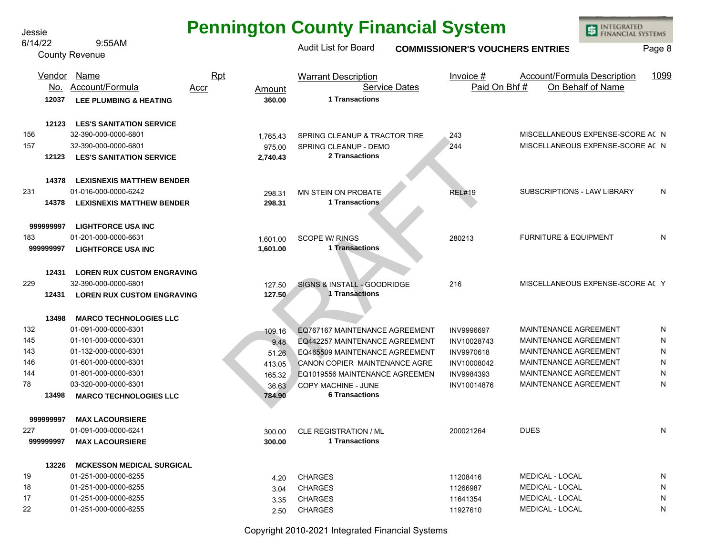| <b>Pennington County Financial System</b> |  |  |  |
|-------------------------------------------|--|--|--|
|-------------------------------------------|--|--|--|

INTEGRATED<br>FINANCIAL SYSTEMS

国

Jessie

975.00 SPRING CLEANLP - DEMO<br>
2744<br>
276.00 SPRING CLEANLP - DEMO<br>
2744<br>
276.00 SPRING CLEANLP - DEMO<br>
2744<br>
276.00 SPRING CLEANLP - DEMO<br>
1 Transactions<br>
1601.00 SCOPE W/ RINGS<br>
1601.00 1 Transactions<br>
280213<br>
1601.00 1 Tr MISCELLANEOUS EXPENSE-SCORE ACCOUNT 156 32-390-000-0000-6801 1,765.43 SPRING CLEANUP & TRACTOR TIRE 243 N MISCELLANEOUS EXPENSE-SCORE ACCOUNT 157 32-390-000-0000-6801 975.00 SPRING CLEANUP - DEMO 244 N MISCELLANEOUS EXPENSE-SCORE AC Y Audit List for Board **COMMISSIONER'S VOUCHERS ENTRIES** Page 8 Account/Formula 6/14/22 9:55AM County Revenue 231 01-016-000-0000-6242 298.31 MN STEIN ON PROBATE REL#19 SUBSCRIPTIONS - LAW LIBRARY N 183 01-201-000-0000-6631 1,601.00 SCOPE W/ RINGS 280213 FURNITURE & EQUIPMENT N 229 32-390-000-0000-6801 127.50 SIGNS & INSTALL - GOODRIDGE 216 Y 132 01-091-000-0000-6301 109.16 EQ767167 MAINTENANCE AGREEMENT INV9996697 MAINTENANCE AGREEMENT N 145 01-101-000-0000-6301 9.48 EQ442257 MAINTENANCE AGREEMENT INV10028743 MAINTENANCE AGREEMENT N 143 01-132-000-0000-6301 51.26 EQ465509 MAINTENANCE AGREEMENT INV9970618 MAINTENANCE AGREEMENT N 146 01-601-000-0000-6301 413.05 CANON COPIER MAINTENANCE AGRE INV10008042 MAINTENANCE AGREEMENT N 144 01-801-000-0000-6301 165.32 EQ1019556 MAINTENANCE AGREEMEN INV9984393 MAINTENANCE AGREEMENT N 78 03-320-000-0000-6301 36.63 COPY MACHINE - JUNE INV10014876 MAINTENANCE AGREEMENT N 227 01-091-000-0000-6241 300.00 CLE REGISTRATION / ML 200021264 DUES N 19 01-251-000-0000-6255 4.20 CHARGES 11208416 MEDICAL - LOCAL N 18 01-251-000-0000-6255 3.04 CHARGES 11266987 MEDICAL - LOCAL N 17 01-251-000-0000-6255 <sub>3.35</sub> CHARGES 11641354 MEDICAL - LOCAL N 22 01-251-000-0000-6255 2.50 CHARGES 11927610 MEDICAL - LOCAL N **12037 360.00 LEE PLUMBING & HEATING 12123 LES'S SANITATION SERVICE 12123 2,740.43 LES'S SANITATION SERVICE 14378 LEXISNEXIS MATTHEW BENDER 14378 298.31 LEXISNEXIS MATTHEW BENDER 999999997 LIGHTFORCE USA INC 999999997 1,601.00 LIGHTFORCE USA INC 12431 LOREN RUX CUSTOM ENGRAVING 12431 127.50 LOREN RUX CUSTOM ENGRAVING 13498 MARCO TECHNOLOGIES LLC 13498 784.90 MARCO TECHNOLOGIES LLC 999999997 MAX LACOURSIERE 999999997 300.00 MAX LACOURSIERE 13226 MCKESSON MEDICAL SURGICAL** Vendor Name Rpt Warrant Description Invoice # Account/Formula Description 1099 <u>No. Account/Formula</u> <u>Accr</u> <u>Amount</u> Service Dates <u>Paid On Bhf # On Behalf of Name</u> **1 Transactions 2 Transactions 1 Transactions 1 Transactions 1 Transactions 6 Transactions 1 Transactions**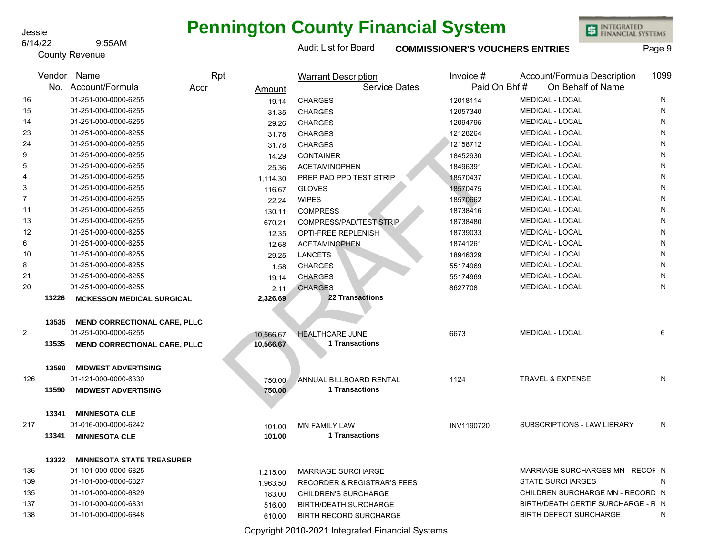#### 6/14/22 9:55AM

County Revenue

## **Pennington County Financial System**

Audit List for Board **COMMISSIONER'S VOUCHERS ENTRIES** Page 9

INTEGRATED<br>FINANCIAL SYSTEMS

|                |       | Vendor Name                         | <b>Rpt</b>     | <b>Warrant Description</b>             | Invoice $#$  | Account/Formula Description        | 1099 |
|----------------|-------|-------------------------------------|----------------|----------------------------------------|--------------|------------------------------------|------|
|                |       | No. Account/Formula                 | Accr<br>Amount | <b>Service Dates</b>                   | Paid On Bhf# | On Behalf of Name                  |      |
| 16             |       | 01-251-000-0000-6255                | 19.14          | <b>CHARGES</b>                         | 12018114     | MEDICAL - LOCAL                    | N    |
| 15             |       | 01-251-000-0000-6255                | 31.35          | <b>CHARGES</b>                         | 12057340     | MEDICAL - LOCAL                    | N    |
| 14             |       | 01-251-000-0000-6255                | 29.26          | <b>CHARGES</b>                         | 12094795     | <b>MEDICAL - LOCAL</b>             | N    |
| 23             |       | 01-251-000-0000-6255                | 31.78          | <b>CHARGES</b>                         | 12128264     | MEDICAL - LOCAL                    | N    |
| 24             |       | 01-251-000-0000-6255                | 31.78          | <b>CHARGES</b>                         | 12158712     | <b>MEDICAL - LOCAL</b>             | N    |
| 9              |       | 01-251-000-0000-6255                | 14.29          | <b>CONTAINER</b>                       | 18452930     | MEDICAL - LOCAL                    | N    |
| 5              |       | 01-251-000-0000-6255                | 25.36          | <b>ACETAMINOPHEN</b>                   | 18496391     | <b>MEDICAL - LOCAL</b>             | N    |
| 4              |       | 01-251-000-0000-6255                | 1,114.30       | PREP PAD PPD TEST STRIP                | 18570437     | MEDICAL - LOCAL                    | N    |
| 3              |       | 01-251-000-0000-6255                | 116.67         | <b>GLOVES</b>                          | 18570475     | <b>MEDICAL - LOCAL</b>             | N    |
| 7              |       | 01-251-000-0000-6255                | 22.24          | <b>WIPES</b>                           | 18570662     | MEDICAL - LOCAL                    | N    |
| 11             |       | 01-251-000-0000-6255                | 130.11         | <b>COMPRESS</b>                        | 18738416     | <b>MEDICAL - LOCAL</b>             | N    |
| 13             |       | 01-251-000-0000-6255                | 670.21         | COMPRESS/PAD/TEST STRIP                | 18738480     | MEDICAL - LOCAL                    | N    |
| 12             |       | 01-251-000-0000-6255                | 12.35          | <b>OPTI-FREE REPLENISH</b>             | 18739033     | <b>MEDICAL - LOCAL</b>             | N    |
| 6              |       | 01-251-000-0000-6255                | 12.68          | <b>ACETAMINOPHEN</b>                   | 18741261     | MEDICAL - LOCAL                    | N    |
| 10             |       | 01-251-000-0000-6255                | 29.25          | <b>LANCETS</b>                         | 18946329     | MEDICAL - LOCAL                    | N    |
| 8              |       | 01-251-000-0000-6255                | 1.58           | <b>CHARGES</b>                         | 55174969     | MEDICAL - LOCAL                    | N    |
| 21             |       | 01-251-000-0000-6255                | 19.14          | <b>CHARGES</b>                         | 55174969     | <b>MEDICAL - LOCAL</b>             | N    |
| 20             |       | 01-251-000-0000-6255                | 2.11           | <b>CHARGES</b>                         | 8627708      | MEDICAL - LOCAL                    | N    |
|                | 13226 | <b>MCKESSON MEDICAL SURGICAL</b>    | 2,326.69       | <b>22 Transactions</b>                 |              |                                    |      |
|                |       |                                     |                |                                        |              |                                    |      |
|                | 13535 | <b>MEND CORRECTIONAL CARE, PLLC</b> |                |                                        |              |                                    |      |
| $\overline{2}$ |       | 01-251-000-0000-6255                | 10.566.67      | <b>HEALTHCARE JUNE</b>                 | 6673         | MEDICAL - LOCAL                    | 6    |
|                | 13535 | <b>MEND CORRECTIONAL CARE, PLLC</b> | 10,566.67      | 1 Transactions                         |              |                                    |      |
|                |       |                                     |                |                                        |              |                                    |      |
|                | 13590 | <b>MIDWEST ADVERTISING</b>          |                |                                        |              |                                    |      |
| 126            |       | 01-121-000-0000-6330                | 750.00         | ANNUAL BILLBOARD RENTAL                | 1124         | <b>TRAVEL &amp; EXPENSE</b>        | N    |
|                | 13590 | <b>MIDWEST ADVERTISING</b>          | 750.00         | 1 Transactions                         |              |                                    |      |
|                |       |                                     |                |                                        |              |                                    |      |
|                | 13341 | <b>MINNESOTA CLE</b>                |                |                                        |              |                                    |      |
| 217            |       | 01-016-000-0000-6242                | 101.00         | <b>MN FAMILY LAW</b>                   | INV1190720   | SUBSCRIPTIONS - LAW LIBRARY        | N    |
|                | 13341 | <b>MINNESOTA CLE</b>                | 101.00         | <b>1 Transactions</b>                  |              |                                    |      |
|                |       |                                     |                |                                        |              |                                    |      |
|                | 13322 | <b>MINNESOTA STATE TREASURER</b>    |                |                                        |              |                                    |      |
| 136            |       | 01-101-000-0000-6825                | 1,215.00       | <b>MARRIAGE SURCHARGE</b>              |              | MARRIAGE SURCHARGES MN - RECOF N   |      |
| 139            |       | 01-101-000-0000-6827                | 1,963.50       | <b>RECORDER &amp; REGISTRAR'S FEES</b> |              | <b>STATE SURCHARGES</b>            | N    |
| 135            |       | 01-101-000-0000-6829                | 183.00         | CHILDREN'S SURCHARGE                   |              | CHILDREN SURCHARGE MN - RECORD N   |      |
| 137            |       | 01-101-000-0000-6831                | 516.00         | <b>BIRTH/DEATH SURCHARGE</b>           |              | BIRTH/DEATH CERTIF SURCHARGE - R N |      |

138 01-101-000-0000-6848 610.00 BIRTH RECORD SURCHARGE BIRTH DEFECT SURCHARGE N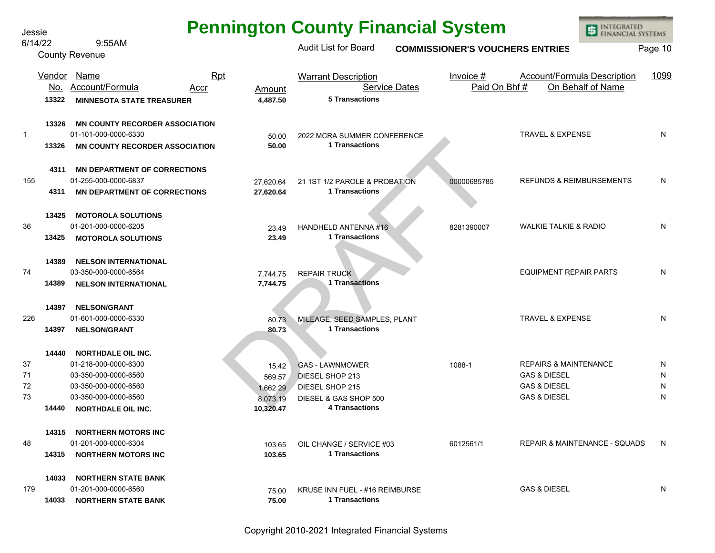| <b>Pennington County Financial System</b> |  |  |  |  |
|-------------------------------------------|--|--|--|--|
|-------------------------------------------|--|--|--|--|

国

Jessie

INTEGRATED<br>FINANCIAL SYSTEMS 6/14/22 9:55AM Audit List for Board **COMMISSIONER'S VOUCHERS ENTRIES** Page 10 County Revenue Vendor Name Rpt Warrant Description Invoice # Account/Formula Description 1099 <u>No. Account/Formula</u> <u>Accr</u> <u>Amount</u> Service Dates <u>Paid On Bhf # On Behalf of Name</u> Account/Formula **5 Transactions 13322 4,487.50 MINNESOTA STATE TREASURER 13326 MN COUNTY RECORDER ASSOCIATION** 1 01-101-000-0000-6330 50.00 2022 MCRA SUMMER CONFERENCE TRAVEL & EXPENSE N 50.00 1 Transactions<br>
27,620.64 21 1ST 1/2 PAROLE & PROBATION<br>
27,620.64 1 Transactions<br>
23.49 HANDHELD ANTENNA #16<br>
23.49 1 Transactions<br>
23.49 1 Transactions<br>
23.49 1 Transactions<br>
23.49 1 Transactions<br>
23.49 1 Transacti **1 Transactions** 13326 MN COUNTY RECORDER ASSOCIATION 50.00 **4311 MN DEPARTMENT OF CORRECTIONS** 155 01-255-000-0000-6837 27,620.64 21 1ST 1/2 PAROLE & PROBATION 00000685785 REFUNDS & REIMBURSEMENTS N **1 Transactions 4311 27,620.64 MN DEPARTMENT OF CORRECTIONS 13425 MOTOROLA SOLUTIONS** 36 01-201-000-0000-6205 23.49 HANDHELD ANTENNA #16 8281390007 WALKIE TALKIE & RADIO N **13425 23.49 MOTOROLA SOLUTIONS 1 Transactions 14389 NELSON INTERNATIONAL** 74 03-350-000-0000-6564 7,744.75 REPAIR TRUCK EQUIPMENT REPAIR PARTS N **14389 7,744.75 NELSON INTERNATIONAL 1 Transactions 14397 NELSON/GRANT** 226 01-601-000-0000-6330 80.73 MILEAGE, SEED SAMPLES, PLANT TRAVEL & EXPENSE N **1 Transactions 14397 80.73 NELSON/GRANT 14440 NORTHDALE OIL INC.** 37 01-218-000-0000-6300 15.42 GAS - LAWNMOWER 1088-1 REPAIRS & MAINTENANCE N 71 03-350-000-0000-6560 569.57 DIESEL SHOP 213 GAS & DIESEL N 72 03-350-000-0000-6560 1,662.29 DIESEL SHOP 215 GAS & DIESEL N 73 03-350-000-0000-6560 8,073.19 DIESEL & GAS SHOP 500 GAS & DIESEL N **4 Transactions 14440 10,320.47 NORTHDALE OIL INC. 14315 NORTHERN MOTORS INC** 48 01-201-000-0000-6304 103.65 OIL CHANGE / SERVICE #03 6012561/1 REPAIR & MAINTENANCE - SQUADS N **1 Transactions 14315 103.65 NORTHERN MOTORS INC 14033 NORTHERN STATE BANK** 179 01-201-000-0000-6560 75.00 KRUSE INN FUEL - #16 REIMBURSE GAS & DIESEL N **1 Transactions 14033 75.00 NORTHERN STATE BANK**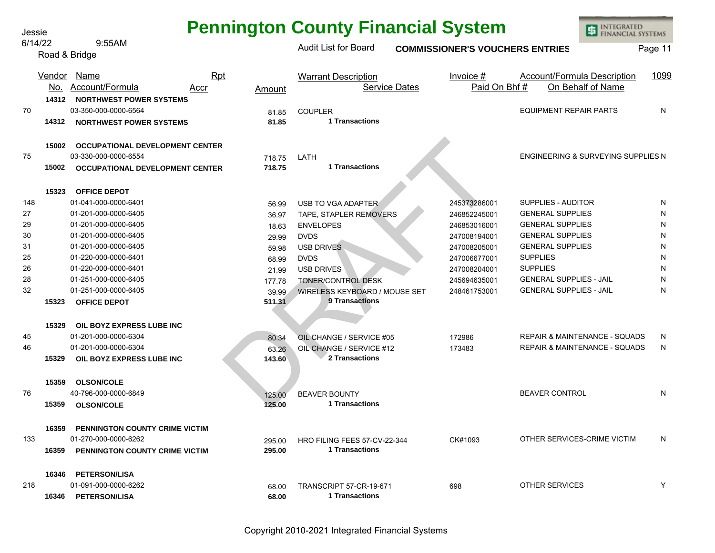| <b>Pennington County Financial System</b> |  |  |  |
|-------------------------------------------|--|--|--|
|-------------------------------------------|--|--|--|

**INTEGRATED** 

**FINANCIAL SYSTEMS** 

国

Jessie

718.75 LATH<br>
718.75 LATH<br>
1 Transactions<br>
56.99 USB TO VGA ADAPTER<br>
36.97 TAPE, STAPLER REMOVERS<br>
7245373286001<br>
18.63 ENVELOPES<br>
72470.08194001<br>
29.99 DVDS<br>
89.99 DVDS<br>
68.99 DVDS<br>
2470.08205001<br>
2470.08205001<br>
2470.08205 Audit List for Board **COMMISSIONER'S VOUCHERS ENTRIES** Page 11 <u>No. Account/Formula</u> <u>Accr</u> <u>Amount</u> Service Dates <u>Paid On Bhf # On Behalf of Name</u> 6/14/22 9:55AM Road & Bridge 70 03-350-000-0000-6564 81.85 COUPLER EQUIPMENT REPAIR PARTS N 75 03-330-000-0000-6554 718.75 LATH ENGINEERING & SURVEYING SUPPLIES N 148 01-041-000-0000-6401 56.99 USB TO VGA ADAPTER 245373286001 SUPPLIES - AUDITOR N 27 01-201-000-0000-6405 36.97 TAPE, STAPLER REMOVERS 246852245001 GENERAL SUPPLIES N 29 01-201-000-0000-6405 18.63 ENVELOPES 246853016001 GENERAL SUPPLIES N 30 01-201-000-0000-6405 29.99 DVDS 247008194001 GENERAL SUPPLIES N 31 01-201-000-0000-6405 59.98 USB DRIVES 247008205001 GENERAL SUPPLIES N 25 01-220-000-0000-6401 68.99 DVDS 247006677001 SUPPLIES N 26 01-220-000-0000-6401 21.99 USB DRIVES 247008204001 SUPPLIES N 28 01-251-000-0000-6405 177.78 TONER/CONTROL DESK 245694635001 GENERAL SUPPLIES - JAIL N 32 01-251-000-0000-6405 39.99 WIRELESS KEYBOARD / MOUSE SET 248461753001 GENERAL SUPPLIES - JAIL N 45 01-201-000-0000-6304 80.34 OIL CHANGE / SERVICE #05 172986 REPAIR & MAINTENANCE - SQUADS N 46 01-201-000-0000-6304 63.26 OIL CHANGE / SERVICE #12 173483 REPAIR & MAINTENANCE - SQUADS N 76 40-796-000-0000-6849 125.00 BEAVER BOUNTY BEAVER CONTROL N 133 01-270-000-0000-6262 295.00 HRO FILING FEES 57-CV-22-344 CK#1093 OTHER SERVICES-CRIME VICTIM N 218 01-091-000-0000-6262 68.00 TRANSCRIPT 57-CR-19-671 698 OTHER SERVICES Y **14312 NORTHWEST POWER SYSTEMS 14312 81.85 NORTHWEST POWER SYSTEMS 15002 OCCUPATIONAL DEVELOPMENT CENTER 15002 718.75 OCCUPATIONAL DEVELOPMENT CENTER 15323 OFFICE DEPOT 15323 511.31 OFFICE DEPOT 15329 OIL BOYZ EXPRESS LUBE INC 15329 143.60 OIL BOYZ EXPRESS LUBE INC 15359 OLSON/COLE 15359 125.00 OLSON/COLE 16359 PENNINGTON COUNTY CRIME VICTIM 16359 295.00 PENNINGTON COUNTY CRIME VICTIM 16346 PETERSON/LISA 16346 68.00 PETERSON/LISA** Vendor Name Rpt Warrant Description Invoice # Account/Formula Description 1099 **1 Transactions 1 Transactions 9 Transactions 2 Transactions 1 Transactions 1 Transactions 1 Transactions**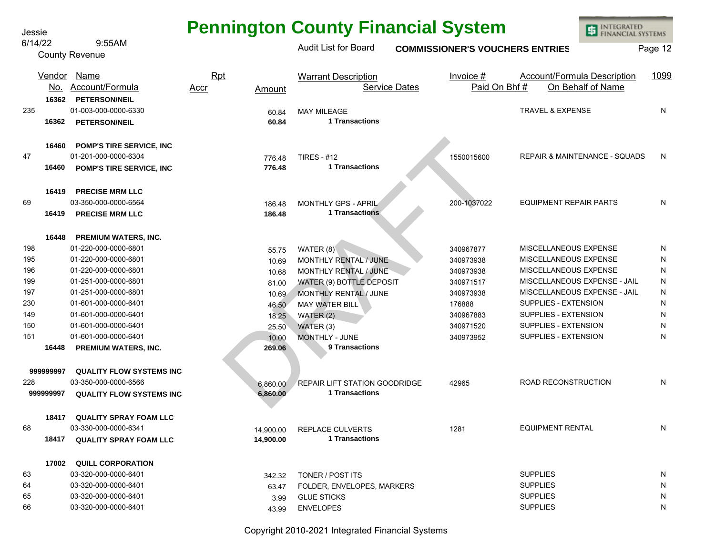6/14/22 9:55AM Jessie

County Revenue

## **Pennington County Financial System**

**INTEGRATED** 围 **FINANCIAL SYSTEMS** 

#### 776.48 TIRES  $#12$ <br> **176.48** TITansactions<br>
186.48 MONTHLY GPS - APRIL<br>
186.48 1 Transactions<br>
186.48 1 Transactions<br>
186.48 1 Transactions<br>
196.6 MONTHLY RENTAL / JUNE<br>
10.69 MONTHLY RENTAL / JUNE<br>
10.69 MONTHLY RENTAL / Audit List for Board **COMMISSIONER'S VOUCHERS ENTRIES** Page 12 <u>No. Account/Formula</u> <u>Accr</u> <u>Amount</u> Service Dates <u>Paid On Bhf # On Behalf of Name</u> 235 01-003-000-0000-6330 <sub>60.84</sub> MAY MILEAGE N 47 01-201-000-0000-6304 776.48 TIRES - #12 1550015600 REPAIR & MAINTENANCE - SQUADS N 69 03-350-000-0000-6564 186.48 MONTHLY GPS - APRIL 200-1037022 EQUIPMENT REPAIR PARTS N 198 01-220-000-0000-6801 55.75 WATER (8) 340967877 MISCELLANEOUS EXPENSE N 195 01-220-000-0000-6801 10.69 MONTHLY RENTAL / JUNE 340973938 MISCELLANEOUS EXPENSE N 196 01-220-000-0000-6801 10.68 MONTHLY RENTAL / JUNE 340973938 MISCELLANEOUS EXPENSE N 199 01-251-000-0000-6801 81.00 WATER (9) BOTTLE DEPOSIT 340971517 MISCELLANEOUS EXPENSE - JAIL N 197 01-251-000-0000-6801 10.69 MONTHLY RENTAL / JUNE 340973938 MISCELLANEOUS EXPENSE - JAIL N 230 01-601-000-0000-6401 46.50 MAY WATER BILL 176888 SUPPLIES - EXTENSION N 149 01-601-000-0000-6401 18.25 WATER (2) 340967883 SUPPLIES - EXTENSION N 150 01-601-000-0000-6401 25.50 WATER (3) 340971520 SUPPLIES - EXTENSION N 151 01-601-000-0000-6401 10.00 MONTHLY - JUNE 340973952 SUPPLIES - EXTENSION N 228 03-350-000-0000-6566 6 6,860.00 REPAIR LIFT STATION GOODRIDGE 42965 ROAD RECONSTRUCTION N 68 03-330-000-0000-6341 14,900.00 REPLACE CULVERTS 1281 EQUIPMENT RENTAL N 63 03-320-000-0000-6401 342.32 TONER / POST ITS N 64 03-320-000-0000-6401 63.47 FOLDER, ENVELOPES, MARKERS SUPPLIES N 65 03-320-000-0000-6401 3.99 GLUE STICKS SUPPLIES N 66 03-320-000-0000-6401 43.99 ENVELOPES SUPPLIES N **16362 PETERSON/NEIL 16362 60.84 PETERSON/NEIL 16460 POMP'S TIRE SERVICE, INC 16460 776.48 POMP'S TIRE SERVICE, INC 16419 PRECISE MRM LLC 16419 186.48 PRECISE MRM LLC 16448 PREMIUM WATERS, INC. 16448 269.06 PREMIUM WATERS, INC. 999999997 QUALITY FLOW SYSTEMS INC 999999997 6,860.00 QUALITY FLOW SYSTEMS INC 18417 QUALITY SPRAY FOAM LLC 18417 14,900.00 QUALITY SPRAY FOAM LLC 17002 QUILL CORPORATION** Vendor Name Rpt Warrant Description Invoice # Account/Formula Description 1099 **1 Transactions 1 Transactions 1 Transactions 9 Transactions 1 Transactions 1 Transactions**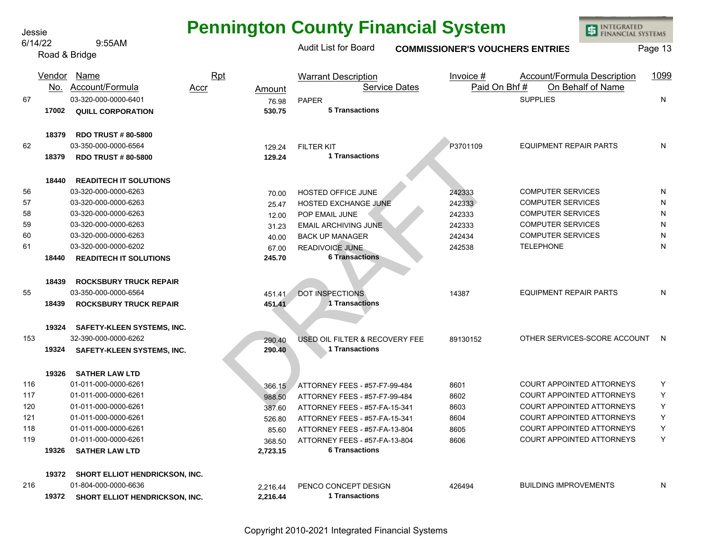**Pennington County Financial System**

**INTEGRATED** 

**FINANCIAL SYSTEMS** 

庫

Jessie

DRAFT Audit List for Board **COMMISSIONER'S VOUCHERS ENTRIES** Page 13 Account/Formula 6/14/22 9:55AM Road & Bridge 67 03-320-000-0000-6401 76.98 PAPER SUPPLIES N 62 03-350-000-0000-6564 129.24 FILTER KIT P3701109 EQUIPMENT REPAIR PARTS N 56 03-320-000-0000-6263 70.00 HOSTED OFFICE JUNE 242333 COMPUTER SERVICES N 57 03-320-000-0000-6263 25.47 HOSTED EXCHANGE JUNE 242333 COMPUTER SERVICES N 58 03-320-000-0000-6263 12.00 POP EMAIL JUNE 242333 COMPUTER SERVICES N 59 03-320-000-0000-6263 31.23 EMAIL ARCHIVING JUNE 242333 COMPUTER SERVICES N 60 03-320-000-0000-6263 40.00 BACK UP MANAGER 242434 COMPUTER SERVICES N 61 03-320-000-0000-6202 67.00 READIVOICE JUNE 242538 TELEPHONE N 55 03-350-000-0000-6564 451.41 DOT INSPECTIONS 14387 EQUIPMENT REPAIR PARTS N 153 32-390-000-0000-6262 290.40 USED OIL FILTER & RECOVERY FEE 89130152 OTHER SERVICES-SCORE ACCOUNT N 116 01-011-000-0000-6261 366.15 ATTORNEY FEES - #57-F7-99-484 8601 COURT APPOINTED ATTORNEYS Y 117 01-011-000-0000-6261 988.50 ATTORNEY FEES - #57-F7-99-484 8602 COURT APPOINTED ATTORNEYS Y 120 01-011-000-0000-6261 387.60 ATTORNEY FEES - #57-FA-15-341 8603 COURT APPOINTED ATTORNEYS Y 121 01-011-000-0000-6261 526.80 ATTORNEY FEES - #57-FA-15-341 8604 COURT APPOINTED ATTORNEYS Y 118 01-011-000-0000-6261 85.60 ATTORNEY FEES - #57-FA-13-804 8605 COURT APPOINTED ATTORNEYS Y 119 01-011-000-0000-6261 368.50 ATTORNEY FEES - #57-FA-13-804 8606 COURT APPOINTED ATTORNEYS Y 216 01-804-000-0000-6636 2,216.44 PENCO CONCEPT DESIGN 426494 BUILDING IMPROVEMENTS N **17002 530.75 QUILL CORPORATION 18379 RDO TRUST # 80-5800 18379 129.24 RDO TRUST # 80-5800 18440 READITECH IT SOLUTIONS 18440 245.70 READITECH IT SOLUTIONS 18439 ROCKSBURY TRUCK REPAIR 18439 451.41 ROCKSBURY TRUCK REPAIR 19324 SAFETY-KLEEN SYSTEMS, INC. 19324 290.40 SAFETY-KLEEN SYSTEMS, INC. 19326 SATHER LAW LTD 19326 2,723.15 SATHER LAW LTD 19372 SHORT ELLIOT HENDRICKSON, INC. 19372 2,216.44 SHORT ELLIOT HENDRICKSON, INC.** Vendor Name Rpt Warrant Description Invoice # Account/Formula Description 1099 No. Account/Formula Accr Amount Service Dates Paid On Bhf # On Behalf of Name<br>03-320-000-0000-6401 26.08 PAPER **5 Transactions 1 Transactions 6 Transactions 1 Transactions 1 Transactions 6 Transactions 1 Transactions**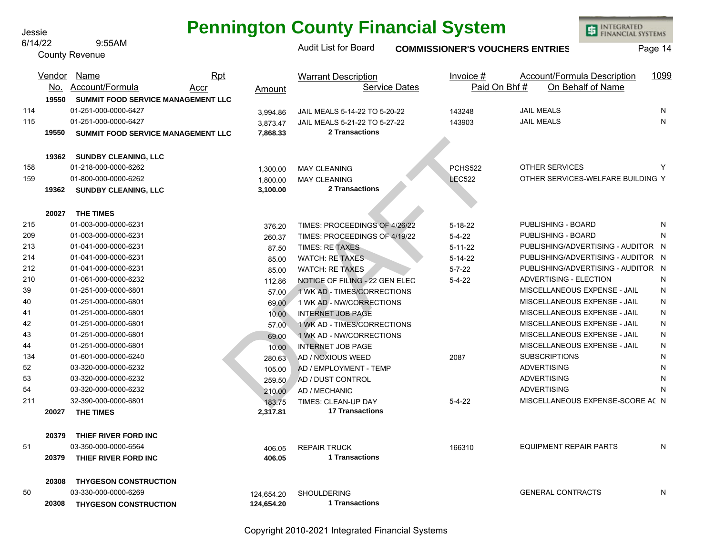## **Pennington County Financial System**

Jessie

INTEGRATED<br>FINANCIAL SYSTEMS

|     | 6/14/22 | 9:55AM                             |      |            | <b>Audit List for Board</b>    |                      | <b>COMMISSIONER'S VOUCHERS ENTRIES</b> | Page 14                            |      |
|-----|---------|------------------------------------|------|------------|--------------------------------|----------------------|----------------------------------------|------------------------------------|------|
|     |         | <b>County Revenue</b>              |      |            |                                |                      |                                        |                                    |      |
|     | Vendor  | <u>Name</u>                        | Rpt  |            | <b>Warrant Description</b>     |                      | Invoice $#$                            | <b>Account/Formula Description</b> | 1099 |
|     | No.     | Account/Formula                    | Accr | Amount     |                                | <b>Service Dates</b> | Paid On Bhf#                           | On Behalf of Name                  |      |
|     | 19550   | SUMMIT FOOD SERVICE MANAGEMENT LLC |      |            |                                |                      |                                        |                                    |      |
| 114 |         | 01-251-000-0000-6427               |      | 3,994.86   | JAIL MEALS 5-14-22 TO 5-20-22  |                      | 143248                                 | <b>JAIL MEALS</b>                  | N    |
| 115 |         | 01-251-000-0000-6427               |      | 3,873.47   | JAIL MEALS 5-21-22 TO 5-27-22  |                      | 143903                                 | <b>JAIL MEALS</b>                  | N    |
|     | 19550   | SUMMIT FOOD SERVICE MANAGEMENT LLC |      | 7,868.33   | <b>2 Transactions</b>          |                      |                                        |                                    |      |
|     |         |                                    |      |            |                                |                      |                                        |                                    |      |
|     | 19362   | <b>SUNDBY CLEANING, LLC</b>        |      |            |                                |                      |                                        |                                    |      |
| 158 |         | 01-218-000-0000-6262               |      | 1,300.00   | <b>MAY CLEANING</b>            |                      | PCHS522                                | <b>OTHER SERVICES</b>              | Y    |
| 159 |         | 01-800-000-0000-6262               |      | 1,800.00   | <b>MAY CLEANING</b>            |                      | <b>LEC522</b>                          | OTHER SERVICES-WELFARE BUILDING Y  |      |
|     | 19362   | <b>SUNDBY CLEANING, LLC</b>        |      | 3,100.00   | <b>2 Transactions</b>          |                      |                                        |                                    |      |
|     | 20027   | <b>THE TIMES</b>                   |      |            |                                |                      |                                        |                                    |      |
| 215 |         | 01-003-000-0000-6231               |      | 376.20     | TIMES: PROCEEDINGS OF 4/26/22  |                      | $5 - 18 - 22$                          | PUBLISHING - BOARD                 | N    |
| 209 |         | 01-003-000-0000-6231               |      | 260.37     | TIMES: PROCEEDINGS OF 4/19/22  |                      | $5 - 4 - 22$                           | PUBLISHING - BOARD                 | N    |
| 213 |         | 01-041-000-0000-6231               |      | 87.50      | <b>TIMES: RE TAXES</b>         |                      | $5 - 11 - 22$                          | PUBLISHING/ADVERTISING - AUDITOR N |      |
| 214 |         | 01-041-000-0000-6231               |      | 85.00      | <b>WATCH: RE TAXES</b>         |                      | $5 - 14 - 22$                          | PUBLISHING/ADVERTISING - AUDITOR N |      |
| 212 |         | 01-041-000-0000-6231               |      | 85.00      | <b>WATCH: RE TAXES</b>         |                      | $5 - 7 - 22$                           | PUBLISHING/ADVERTISING - AUDITOR N |      |
| 210 |         | 01-061-000-0000-6232               |      | 112.86     | NOTICE OF FILING - 22 GEN ELEC |                      | $5 - 4 - 22$                           | ADVERTISING - ELECTION             | N    |
| 39  |         | 01-251-000-0000-6801               |      | 57.00      | 1 WK AD - TIMES/CORRECTIONS    |                      |                                        | MISCELLANEOUS EXPENSE - JAIL       | N    |
| 40  |         | 01-251-000-0000-6801               |      | 69.00      | 1 WK AD - NW/CORRECTIONS       |                      |                                        | MISCELLANEOUS EXPENSE - JAIL       | N    |
| 41  |         | 01-251-000-0000-6801               |      | 10.00      | <b>INTERNET JOB PAGE</b>       |                      |                                        | MISCELLANEOUS EXPENSE - JAIL       | N    |
| 42  |         | 01-251-000-0000-6801               |      | 57.00      | 1 WK AD - TIMES/CORRECTIONS    |                      |                                        | MISCELLANEOUS EXPENSE - JAIL       | N    |
| 43  |         | 01-251-000-0000-6801               |      | 69.00      | 1 WK AD - NW/CORRECTIONS       |                      |                                        | MISCELLANEOUS EXPENSE - JAIL       | N    |
| 44  |         | 01-251-000-0000-6801               |      | 10.00      | <b>INTERNET JOB PAGE</b>       |                      |                                        | MISCELLANEOUS EXPENSE - JAIL       | N    |
| 134 |         | 01-601-000-0000-6240               |      | 280.63     | AD / NOXIOUS WEED              |                      | 2087                                   | <b>SUBSCRIPTIONS</b>               | N    |
| 52  |         | 03-320-000-0000-6232               |      | 105.00     | AD / EMPLOYMENT - TEMP         |                      |                                        | <b>ADVERTISING</b>                 | N    |
| 53  |         | 03-320-000-0000-6232               |      | 259.50     | AD / DUST CONTROL              |                      |                                        | <b>ADVERTISING</b>                 | N    |
| 54  |         | 03-320-000-0000-6232               |      | 210.00     | AD / MECHANIC                  |                      |                                        | <b>ADVERTISING</b>                 | N    |
| 211 |         | 32-390-000-0000-6801               |      | 183.75     | TIMES: CLEAN-UP DAY            |                      | $5 - 4 - 22$                           | MISCELLANEOUS EXPENSE-SCORE AC N   |      |
|     | 20027   | THE TIMES                          |      | 2,317.81   | <b>17 Transactions</b>         |                      |                                        |                                    |      |
|     | 20379   | THIEF RIVER FORD INC               |      |            |                                |                      |                                        |                                    |      |
| 51  |         | 03-350-000-0000-6564               |      | 406.05     | <b>REPAIR TRUCK</b>            |                      | 166310                                 | <b>EQUIPMENT REPAIR PARTS</b>      | N    |
|     | 20379   | THIEF RIVER FORD INC               |      | 406.05     | <b>1 Transactions</b>          |                      |                                        |                                    |      |
|     |         |                                    |      |            |                                |                      |                                        |                                    |      |
|     | 20308   | <b>THYGESON CONSTRUCTION</b>       |      |            |                                |                      |                                        |                                    |      |
| 50  |         | 03-330-000-0000-6269               |      | 124,654.20 | <b>SHOULDERING</b>             |                      |                                        | <b>GENERAL CONTRACTS</b>           | N    |
|     | 20308   | <b>THYGESON CONSTRUCTION</b>       |      | 124,654.20 | 1 Transactions                 |                      |                                        |                                    |      |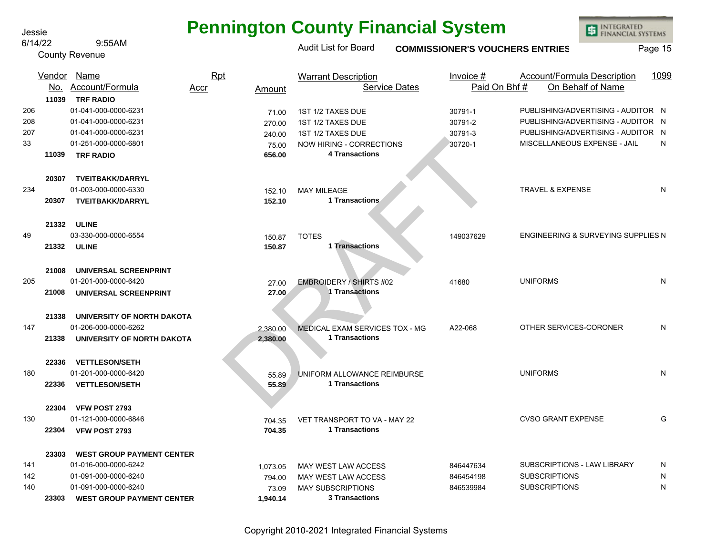#### 6/14/22 9:55AM

County Revenue

# **Pennington County Financial System**

INTEGRATED<br>FINANCIAL SYSTEMS

## Audit List for Board **COMMISSIONER'S VOUCHERS ENTRIES** Page 15

|                         | Vendor<br>No.  | Name<br>Account/Formula                                                                                                                      | Rpt<br>Accr<br>Amount                        | <b>Warrant Description</b><br><b>Service Dates</b>                                                                      | Invoice $#$<br>Paid On Bhf#              | <b>Account/Formula Description</b><br>On Behalf of Name                                                                                        | 1099        |
|-------------------------|----------------|----------------------------------------------------------------------------------------------------------------------------------------------|----------------------------------------------|-------------------------------------------------------------------------------------------------------------------------|------------------------------------------|------------------------------------------------------------------------------------------------------------------------------------------------|-------------|
| 206<br>208<br>207<br>33 | 11039<br>11039 | <b>TRF RADIO</b><br>01-041-000-0000-6231<br>01-041-000-0000-6231<br>01-041-000-0000-6231<br>01-251-000-0000-6801<br><b>TRF RADIO</b>         | 71.00<br>270.00<br>240.00<br>75.00<br>656.00 | 1ST 1/2 TAXES DUE<br>1ST 1/2 TAXES DUE<br>1ST 1/2 TAXES DUE<br><b>NOW HIRING - CORRECTIONS</b><br><b>4 Transactions</b> | 30791-1<br>30791-2<br>30791-3<br>30720-1 | PUBLISHING/ADVERTISING - AUDITOR N<br>PUBLISHING/ADVERTISING - AUDITOR N<br>PUBLISHING/ADVERTISING - AUDITOR N<br>MISCELLANEOUS EXPENSE - JAIL | N           |
| 234                     | 20307<br>20307 | <b>TVEITBAKK/DARRYL</b><br>01-003-000-0000-6330<br><b>TVEITBAKK/DARRYL</b>                                                                   | 152.10<br>152.10                             | <b>MAY MILEAGE</b><br>1 Transactions                                                                                    |                                          | <b>TRAVEL &amp; EXPENSE</b>                                                                                                                    | N           |
| 49                      | 21332          | 21332 ULINE<br>03-330-000-0000-6554<br><b>ULINE</b>                                                                                          | 150.87<br>150.87                             | <b>TOTES</b><br>1 Transactions                                                                                          | 149037629                                | ENGINEERING & SURVEYING SUPPLIES N                                                                                                             |             |
| 205                     | 21008<br>21008 | UNIVERSAL SCREENPRINT<br>01-201-000-0000-6420<br>UNIVERSAL SCREENPRINT                                                                       | 27.00<br>27.00                               | <b>EMBROIDERY / SHIRTS #02</b><br>1 Transactions                                                                        | 41680                                    | <b>UNIFORMS</b>                                                                                                                                | N           |
| 147                     | 21338<br>21338 | UNIVERSITY OF NORTH DAKOTA<br>01-206-000-0000-6262<br>UNIVERSITY OF NORTH DAKOTA                                                             | 2.380.00<br>2,380.00                         | MEDICAL EXAM SERVICES TOX - MG<br>1 Transactions                                                                        | A22-068                                  | OTHER SERVICES-CORONER                                                                                                                         | N           |
| 180                     | 22336<br>22336 | <b>VETTLESON/SETH</b><br>01-201-000-0000-6420<br><b>VETTLESON/SETH</b>                                                                       | 55.89<br>55.89                               | UNIFORM ALLOWANCE REIMBURSE<br><b>1 Transactions</b>                                                                    |                                          | <b>UNIFORMS</b>                                                                                                                                | N           |
| 130                     | 22304<br>22304 | VFW POST 2793<br>01-121-000-0000-6846<br>VFW POST 2793                                                                                       | 704.35<br>704.35                             | VET TRANSPORT TO VA - MAY 22<br><b>1 Transactions</b>                                                                   |                                          | <b>CVSO GRANT EXPENSE</b>                                                                                                                      | G           |
| 141<br>142<br>140       | 23303<br>23303 | <b>WEST GROUP PAYMENT CENTER</b><br>01-016-000-0000-6242<br>01-091-000-0000-6240<br>01-091-000-0000-6240<br><b>WEST GROUP PAYMENT CENTER</b> | 1,073.05<br>794.00<br>73.09<br>1,940.14      | MAY WEST LAW ACCESS<br>MAY WEST LAW ACCESS<br><b>MAY SUBSCRIPTIONS</b><br><b>3 Transactions</b>                         | 846447634<br>846454198<br>846539984      | SUBSCRIPTIONS - LAW LIBRARY<br><b>SUBSCRIPTIONS</b><br><b>SUBSCRIPTIONS</b>                                                                    | N<br>N<br>N |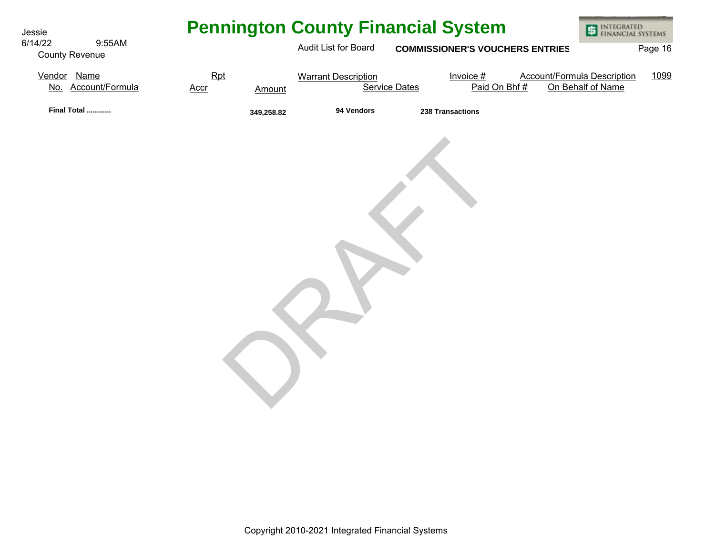| Jessie                                     |             |            |                            | <b>Pennington County Financial System</b> |              | INTEGRATED<br>FINANCIAL SYSTEMS                         |         |
|--------------------------------------------|-------------|------------|----------------------------|-------------------------------------------|--------------|---------------------------------------------------------|---------|
| 6/14/22<br>9:55AM<br><b>County Revenue</b> |             |            | Audit List for Board       | <b>COMMISSIONER'S VOUCHERS ENTRIES</b>    |              |                                                         | Page 16 |
| Vendor Name<br>No. Account/Formula         | Rpt<br>Accr | Amount     | <b>Warrant Description</b> | Invoice $#$<br><b>Service Dates</b>       | Paid On Bhf# | <b>Account/Formula Description</b><br>On Behalf of Name | 1099    |
| Final Total                                |             | 349,258.82 | 94 Vendors                 | 238 Transactions                          |              |                                                         |         |
|                                            |             |            |                            |                                           |              |                                                         |         |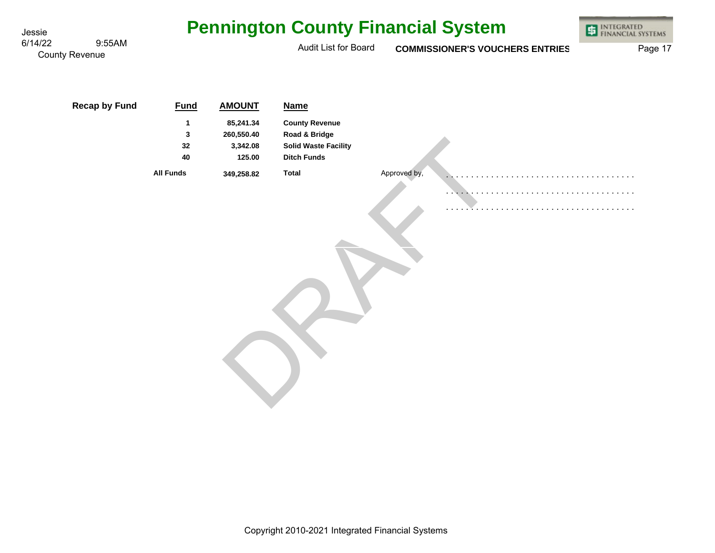| Jessie  |                                 |                                   |                                                                | <b>Pennington County Financial System</b>                                                                  |              |                                        | INTEGRATED<br>FINANCIAL SYSTEMS<br>車 |
|---------|---------------------------------|-----------------------------------|----------------------------------------------------------------|------------------------------------------------------------------------------------------------------------|--------------|----------------------------------------|--------------------------------------|
| 6/14/22 | 9:55AM<br><b>County Revenue</b> |                                   |                                                                | Audit List for Board                                                                                       |              | <b>COMMISSIONER'S VOUCHERS ENTRIES</b> | Page 17                              |
|         | <b>Recap by Fund</b>            | <b>Fund</b><br>1<br>3<br>32<br>40 | <b>AMOUNT</b><br>85,241.34<br>260,550.40<br>3,342.08<br>125.00 | <b>Name</b><br><b>County Revenue</b><br>Road & Bridge<br><b>Solid Waste Facility</b><br><b>Ditch Funds</b> |              |                                        |                                      |
|         |                                 | <b>All Funds</b>                  | 349,258.82                                                     | <b>Total</b>                                                                                               | Approved by, |                                        |                                      |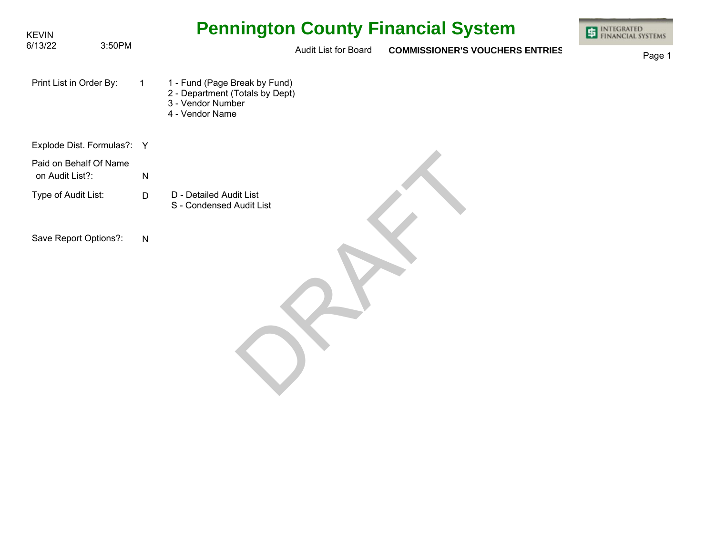| <b>KEVIN</b><br>6/13/22<br>3:50PM         |              | <b>Pennington County Financial System</b>                                                                | <b>INTEGRATED</b><br><b>FINANCIAL SYSTEMS</b> |
|-------------------------------------------|--------------|----------------------------------------------------------------------------------------------------------|-----------------------------------------------|
|                                           |              | Audit List for Board<br><b>COMMISSIONER'S VOUCHERS ENTRIES</b>                                           | Page 1                                        |
| Print List in Order By:                   | $\mathbf{1}$ | 1 - Fund (Page Break by Fund)<br>2 - Department (Totals by Dept)<br>3 - Vendor Number<br>4 - Vendor Name |                                               |
| Explode Dist. Formulas?: Y                |              |                                                                                                          |                                               |
| Paid on Behalf Of Name<br>on Audit List?: | ${\sf N}$    |                                                                                                          |                                               |
| Type of Audit List:                       | $\mathsf D$  | D - Detailed Audit List<br>S - Condensed Audit List                                                      |                                               |
| Save Report Options?:                     | $\mathsf{N}$ |                                                                                                          |                                               |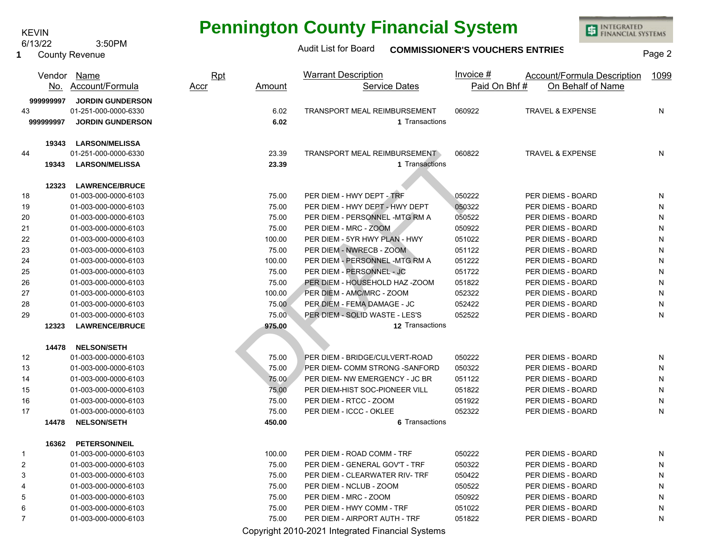6/13/22 3:50PM KEVIN

County Revenue 

# **Pennington County Financial System**

INTEGRATED<br>FINANCIAL SYSTEMS

### Audit List for Board **COMMISSIONER'S VOUCHERS ENTRIES** Page 2

| Paid On Bhf#<br>On Behalf of Name<br>No. Account/Formula<br><b>Service Dates</b><br>Amount<br><u>Accr</u><br><b>JORDIN GUNDERSON</b><br>999999997<br>43<br>01-251-000-0000-6330<br>TRANSPORT MEAL REIMBURSEMENT<br>TRAVEL & EXPENSE<br>N<br>6.02<br>060922<br>6.02<br>1 Transactions<br>999999997<br><b>JORDIN GUNDERSON</b><br>19343<br><b>LARSON/MELISSA</b><br>01-251-000-0000-6330<br>23.39<br>TRANSPORT MEAL REIMBURSEMENT<br>060822<br><b>TRAVEL &amp; EXPENSE</b><br>N<br>44<br>23.39<br><b>LARSON/MELISSA</b><br>1 Transactions<br>19343<br><b>LAWRENCE/BRUCE</b><br>12323<br>PER DIEM - HWY DEPT - TRF<br>18<br>01-003-000-0000-6103<br>75.00<br>050222<br>PER DIEMS - BOARD<br>N<br>050322<br>19<br>75.00<br>PER DIEM - HWY DEPT - HWY DEPT<br>PER DIEMS - BOARD<br>N<br>01-003-000-0000-6103<br>20<br>75.00<br>PER DIEM - PERSONNEL -MTG RM A<br>050522<br>PER DIEMS - BOARD<br>N<br>01-003-000-0000-6103<br>21<br>75.00<br>PER DIEM - MRC - ZOOM<br>050922<br>PER DIEMS - BOARD<br>N<br>01-003-000-0000-6103<br>22<br>PER DIEM - 5YR HWY PLAN - HWY<br>051022<br>${\sf N}$<br>100.00<br>PER DIEMS - BOARD<br>01-003-000-0000-6103<br>23<br>PER DIEM - NWRECB - ZOOM<br>${\sf N}$<br>75.00<br>051122<br>PER DIEMS - BOARD<br>01-003-000-0000-6103<br>24<br>PER DIEM - PERSONNEL-MTG RM A<br>${\sf N}$<br>100.00<br>051222<br>PER DIEMS - BOARD<br>01-003-000-0000-6103<br>PER DIEM - PERSONNEL - JC<br>${\sf N}$<br>25<br>75.00<br>051722<br>PER DIEMS - BOARD<br>01-003-000-0000-6103<br>75.00<br>PER DIEM - HOUSEHOLD HAZ -ZOOM<br>N<br>26<br>01-003-000-0000-6103<br>051822<br>PER DIEMS - BOARD<br>PER DIEM - AMC/MRC - ZOOM<br>${\sf N}$<br>27<br>01-003-000-0000-6103<br>100.00<br>052322<br>PER DIEMS - BOARD<br>28<br>75.00<br>PER DIEM - FEMA DAMAGE - JC<br>052422<br>PER DIEMS - BOARD<br>N<br>01-003-000-0000-6103<br>75.00<br>PER DIEM - SOLID WASTE - LES'S<br>052522<br>N<br>29<br>01-003-000-0000-6103<br>PER DIEMS - BOARD<br>12323<br><b>LAWRENCE/BRUCE</b><br>975.00<br>12 Transactions<br><b>NELSON/SETH</b><br>14478<br>12<br>01-003-000-0000-6103<br>75.00<br>PER DIEM - BRIDGE/CULVERT-ROAD<br>050222<br>PER DIEMS - BOARD<br>N<br>75.00<br>PER DIEM- COMM STRONG -SANFORD<br>050322<br>PER DIEMS - BOARD<br>N<br>13<br>01-003-000-0000-6103<br>75.00<br>PER DIEM- NW EMERGENCY - JC BR<br>051122<br>PER DIEMS - BOARD<br>14<br>01-003-000-0000-6103<br>N<br>75.00<br>PER DIEM-HIST SOC-PIONEER VILL<br>${\sf N}$<br>15<br>01-003-000-0000-6103<br>051822<br>PER DIEMS - BOARD<br>01-003-000-0000-6103<br>75.00<br>PER DIEM - RTCC - ZOOM<br>051922<br>PER DIEMS - BOARD<br>N<br>16<br>01-003-000-0000-6103<br>75.00<br>PER DIEM - ICCC - OKLEE<br>052322<br>PER DIEMS - BOARD<br>N<br>17<br>6 Transactions<br>14478<br><b>NELSON/SETH</b><br>450.00<br><b>PETERSON/NEIL</b><br>16362<br>100.00<br>PER DIEM - ROAD COMM - TRF<br>050222<br>PER DIEMS - BOARD<br>01-003-000-0000-6103<br>N<br>PER DIEM - GENERAL GOV'T - TRF<br>050322<br>2<br>01-003-000-0000-6103<br>75.00<br>PER DIEMS - BOARD<br>N<br>3<br>01-003-000-0000-6103<br>75.00<br>PER DIEM - CLEARWATER RIV- TRF<br>050422<br>PER DIEMS - BOARD<br>N<br>75.00<br>PER DIEM - NCLUB - ZOOM<br>050522<br>PER DIEMS - BOARD<br>N<br>01-003-000-0000-6103<br>4<br>PER DIEM - MRC - ZOOM<br>050922<br>5<br>01-003-000-0000-6103<br>75.00<br>PER DIEMS - BOARD<br>N<br>6<br>75.00<br>PER DIEM - HWY COMM - TRF<br>051022<br>PER DIEMS - BOARD<br>N<br>01-003-000-0000-6103<br>$\overline{7}$<br>051822<br>PER DIEMS - BOARD<br>N<br>01-003-000-0000-6103<br>75.00<br>PER DIEM - AIRPORT AUTH - TRF |              | Vendor Name | <b>Rpt</b> | <b>Warrant Description</b> | Invoice $#$ | <b>Account/Formula Description</b> | 1099 |
|--------------------------------------------------------------------------------------------------------------------------------------------------------------------------------------------------------------------------------------------------------------------------------------------------------------------------------------------------------------------------------------------------------------------------------------------------------------------------------------------------------------------------------------------------------------------------------------------------------------------------------------------------------------------------------------------------------------------------------------------------------------------------------------------------------------------------------------------------------------------------------------------------------------------------------------------------------------------------------------------------------------------------------------------------------------------------------------------------------------------------------------------------------------------------------------------------------------------------------------------------------------------------------------------------------------------------------------------------------------------------------------------------------------------------------------------------------------------------------------------------------------------------------------------------------------------------------------------------------------------------------------------------------------------------------------------------------------------------------------------------------------------------------------------------------------------------------------------------------------------------------------------------------------------------------------------------------------------------------------------------------------------------------------------------------------------------------------------------------------------------------------------------------------------------------------------------------------------------------------------------------------------------------------------------------------------------------------------------------------------------------------------------------------------------------------------------------------------------------------------------------------------------------------------------------------------------------------------------------------------------------------------------------------------------------------------------------------------------------------------------------------------------------------------------------------------------------------------------------------------------------------------------------------------------------------------------------------------------------------------------------------------------------------------------------------------------------------------------------------------------------------------------------------------------------------------------------------------------------------------------------------------------------------------------------------------------------------------------------------------------------------------------------------------------------------------------------------------------------------------------------------------------------------------------------------------------------------------|--------------|-------------|------------|----------------------------|-------------|------------------------------------|------|
|                                                                                                                                                                                                                                                                                                                                                                                                                                                                                                                                                                                                                                                                                                                                                                                                                                                                                                                                                                                                                                                                                                                                                                                                                                                                                                                                                                                                                                                                                                                                                                                                                                                                                                                                                                                                                                                                                                                                                                                                                                                                                                                                                                                                                                                                                                                                                                                                                                                                                                                                                                                                                                                                                                                                                                                                                                                                                                                                                                                                                                                                                                                                                                                                                                                                                                                                                                                                                                                                                                                                                                                            |              |             |            |                            |             |                                    |      |
|                                                                                                                                                                                                                                                                                                                                                                                                                                                                                                                                                                                                                                                                                                                                                                                                                                                                                                                                                                                                                                                                                                                                                                                                                                                                                                                                                                                                                                                                                                                                                                                                                                                                                                                                                                                                                                                                                                                                                                                                                                                                                                                                                                                                                                                                                                                                                                                                                                                                                                                                                                                                                                                                                                                                                                                                                                                                                                                                                                                                                                                                                                                                                                                                                                                                                                                                                                                                                                                                                                                                                                                            |              |             |            |                            |             |                                    |      |
|                                                                                                                                                                                                                                                                                                                                                                                                                                                                                                                                                                                                                                                                                                                                                                                                                                                                                                                                                                                                                                                                                                                                                                                                                                                                                                                                                                                                                                                                                                                                                                                                                                                                                                                                                                                                                                                                                                                                                                                                                                                                                                                                                                                                                                                                                                                                                                                                                                                                                                                                                                                                                                                                                                                                                                                                                                                                                                                                                                                                                                                                                                                                                                                                                                                                                                                                                                                                                                                                                                                                                                                            |              |             |            |                            |             |                                    |      |
|                                                                                                                                                                                                                                                                                                                                                                                                                                                                                                                                                                                                                                                                                                                                                                                                                                                                                                                                                                                                                                                                                                                                                                                                                                                                                                                                                                                                                                                                                                                                                                                                                                                                                                                                                                                                                                                                                                                                                                                                                                                                                                                                                                                                                                                                                                                                                                                                                                                                                                                                                                                                                                                                                                                                                                                                                                                                                                                                                                                                                                                                                                                                                                                                                                                                                                                                                                                                                                                                                                                                                                                            |              |             |            |                            |             |                                    |      |
|                                                                                                                                                                                                                                                                                                                                                                                                                                                                                                                                                                                                                                                                                                                                                                                                                                                                                                                                                                                                                                                                                                                                                                                                                                                                                                                                                                                                                                                                                                                                                                                                                                                                                                                                                                                                                                                                                                                                                                                                                                                                                                                                                                                                                                                                                                                                                                                                                                                                                                                                                                                                                                                                                                                                                                                                                                                                                                                                                                                                                                                                                                                                                                                                                                                                                                                                                                                                                                                                                                                                                                                            |              |             |            |                            |             |                                    |      |
|                                                                                                                                                                                                                                                                                                                                                                                                                                                                                                                                                                                                                                                                                                                                                                                                                                                                                                                                                                                                                                                                                                                                                                                                                                                                                                                                                                                                                                                                                                                                                                                                                                                                                                                                                                                                                                                                                                                                                                                                                                                                                                                                                                                                                                                                                                                                                                                                                                                                                                                                                                                                                                                                                                                                                                                                                                                                                                                                                                                                                                                                                                                                                                                                                                                                                                                                                                                                                                                                                                                                                                                            |              |             |            |                            |             |                                    |      |
|                                                                                                                                                                                                                                                                                                                                                                                                                                                                                                                                                                                                                                                                                                                                                                                                                                                                                                                                                                                                                                                                                                                                                                                                                                                                                                                                                                                                                                                                                                                                                                                                                                                                                                                                                                                                                                                                                                                                                                                                                                                                                                                                                                                                                                                                                                                                                                                                                                                                                                                                                                                                                                                                                                                                                                                                                                                                                                                                                                                                                                                                                                                                                                                                                                                                                                                                                                                                                                                                                                                                                                                            |              |             |            |                            |             |                                    |      |
|                                                                                                                                                                                                                                                                                                                                                                                                                                                                                                                                                                                                                                                                                                                                                                                                                                                                                                                                                                                                                                                                                                                                                                                                                                                                                                                                                                                                                                                                                                                                                                                                                                                                                                                                                                                                                                                                                                                                                                                                                                                                                                                                                                                                                                                                                                                                                                                                                                                                                                                                                                                                                                                                                                                                                                                                                                                                                                                                                                                                                                                                                                                                                                                                                                                                                                                                                                                                                                                                                                                                                                                            |              |             |            |                            |             |                                    |      |
|                                                                                                                                                                                                                                                                                                                                                                                                                                                                                                                                                                                                                                                                                                                                                                                                                                                                                                                                                                                                                                                                                                                                                                                                                                                                                                                                                                                                                                                                                                                                                                                                                                                                                                                                                                                                                                                                                                                                                                                                                                                                                                                                                                                                                                                                                                                                                                                                                                                                                                                                                                                                                                                                                                                                                                                                                                                                                                                                                                                                                                                                                                                                                                                                                                                                                                                                                                                                                                                                                                                                                                                            |              |             |            |                            |             |                                    |      |
|                                                                                                                                                                                                                                                                                                                                                                                                                                                                                                                                                                                                                                                                                                                                                                                                                                                                                                                                                                                                                                                                                                                                                                                                                                                                                                                                                                                                                                                                                                                                                                                                                                                                                                                                                                                                                                                                                                                                                                                                                                                                                                                                                                                                                                                                                                                                                                                                                                                                                                                                                                                                                                                                                                                                                                                                                                                                                                                                                                                                                                                                                                                                                                                                                                                                                                                                                                                                                                                                                                                                                                                            |              |             |            |                            |             |                                    |      |
|                                                                                                                                                                                                                                                                                                                                                                                                                                                                                                                                                                                                                                                                                                                                                                                                                                                                                                                                                                                                                                                                                                                                                                                                                                                                                                                                                                                                                                                                                                                                                                                                                                                                                                                                                                                                                                                                                                                                                                                                                                                                                                                                                                                                                                                                                                                                                                                                                                                                                                                                                                                                                                                                                                                                                                                                                                                                                                                                                                                                                                                                                                                                                                                                                                                                                                                                                                                                                                                                                                                                                                                            |              |             |            |                            |             |                                    |      |
|                                                                                                                                                                                                                                                                                                                                                                                                                                                                                                                                                                                                                                                                                                                                                                                                                                                                                                                                                                                                                                                                                                                                                                                                                                                                                                                                                                                                                                                                                                                                                                                                                                                                                                                                                                                                                                                                                                                                                                                                                                                                                                                                                                                                                                                                                                                                                                                                                                                                                                                                                                                                                                                                                                                                                                                                                                                                                                                                                                                                                                                                                                                                                                                                                                                                                                                                                                                                                                                                                                                                                                                            |              |             |            |                            |             |                                    |      |
|                                                                                                                                                                                                                                                                                                                                                                                                                                                                                                                                                                                                                                                                                                                                                                                                                                                                                                                                                                                                                                                                                                                                                                                                                                                                                                                                                                                                                                                                                                                                                                                                                                                                                                                                                                                                                                                                                                                                                                                                                                                                                                                                                                                                                                                                                                                                                                                                                                                                                                                                                                                                                                                                                                                                                                                                                                                                                                                                                                                                                                                                                                                                                                                                                                                                                                                                                                                                                                                                                                                                                                                            |              |             |            |                            |             |                                    |      |
|                                                                                                                                                                                                                                                                                                                                                                                                                                                                                                                                                                                                                                                                                                                                                                                                                                                                                                                                                                                                                                                                                                                                                                                                                                                                                                                                                                                                                                                                                                                                                                                                                                                                                                                                                                                                                                                                                                                                                                                                                                                                                                                                                                                                                                                                                                                                                                                                                                                                                                                                                                                                                                                                                                                                                                                                                                                                                                                                                                                                                                                                                                                                                                                                                                                                                                                                                                                                                                                                                                                                                                                            |              |             |            |                            |             |                                    |      |
|                                                                                                                                                                                                                                                                                                                                                                                                                                                                                                                                                                                                                                                                                                                                                                                                                                                                                                                                                                                                                                                                                                                                                                                                                                                                                                                                                                                                                                                                                                                                                                                                                                                                                                                                                                                                                                                                                                                                                                                                                                                                                                                                                                                                                                                                                                                                                                                                                                                                                                                                                                                                                                                                                                                                                                                                                                                                                                                                                                                                                                                                                                                                                                                                                                                                                                                                                                                                                                                                                                                                                                                            |              |             |            |                            |             |                                    |      |
|                                                                                                                                                                                                                                                                                                                                                                                                                                                                                                                                                                                                                                                                                                                                                                                                                                                                                                                                                                                                                                                                                                                                                                                                                                                                                                                                                                                                                                                                                                                                                                                                                                                                                                                                                                                                                                                                                                                                                                                                                                                                                                                                                                                                                                                                                                                                                                                                                                                                                                                                                                                                                                                                                                                                                                                                                                                                                                                                                                                                                                                                                                                                                                                                                                                                                                                                                                                                                                                                                                                                                                                            |              |             |            |                            |             |                                    |      |
|                                                                                                                                                                                                                                                                                                                                                                                                                                                                                                                                                                                                                                                                                                                                                                                                                                                                                                                                                                                                                                                                                                                                                                                                                                                                                                                                                                                                                                                                                                                                                                                                                                                                                                                                                                                                                                                                                                                                                                                                                                                                                                                                                                                                                                                                                                                                                                                                                                                                                                                                                                                                                                                                                                                                                                                                                                                                                                                                                                                                                                                                                                                                                                                                                                                                                                                                                                                                                                                                                                                                                                                            |              |             |            |                            |             |                                    |      |
|                                                                                                                                                                                                                                                                                                                                                                                                                                                                                                                                                                                                                                                                                                                                                                                                                                                                                                                                                                                                                                                                                                                                                                                                                                                                                                                                                                                                                                                                                                                                                                                                                                                                                                                                                                                                                                                                                                                                                                                                                                                                                                                                                                                                                                                                                                                                                                                                                                                                                                                                                                                                                                                                                                                                                                                                                                                                                                                                                                                                                                                                                                                                                                                                                                                                                                                                                                                                                                                                                                                                                                                            |              |             |            |                            |             |                                    |      |
|                                                                                                                                                                                                                                                                                                                                                                                                                                                                                                                                                                                                                                                                                                                                                                                                                                                                                                                                                                                                                                                                                                                                                                                                                                                                                                                                                                                                                                                                                                                                                                                                                                                                                                                                                                                                                                                                                                                                                                                                                                                                                                                                                                                                                                                                                                                                                                                                                                                                                                                                                                                                                                                                                                                                                                                                                                                                                                                                                                                                                                                                                                                                                                                                                                                                                                                                                                                                                                                                                                                                                                                            |              |             |            |                            |             |                                    |      |
|                                                                                                                                                                                                                                                                                                                                                                                                                                                                                                                                                                                                                                                                                                                                                                                                                                                                                                                                                                                                                                                                                                                                                                                                                                                                                                                                                                                                                                                                                                                                                                                                                                                                                                                                                                                                                                                                                                                                                                                                                                                                                                                                                                                                                                                                                                                                                                                                                                                                                                                                                                                                                                                                                                                                                                                                                                                                                                                                                                                                                                                                                                                                                                                                                                                                                                                                                                                                                                                                                                                                                                                            |              |             |            |                            |             |                                    |      |
|                                                                                                                                                                                                                                                                                                                                                                                                                                                                                                                                                                                                                                                                                                                                                                                                                                                                                                                                                                                                                                                                                                                                                                                                                                                                                                                                                                                                                                                                                                                                                                                                                                                                                                                                                                                                                                                                                                                                                                                                                                                                                                                                                                                                                                                                                                                                                                                                                                                                                                                                                                                                                                                                                                                                                                                                                                                                                                                                                                                                                                                                                                                                                                                                                                                                                                                                                                                                                                                                                                                                                                                            |              |             |            |                            |             |                                    |      |
|                                                                                                                                                                                                                                                                                                                                                                                                                                                                                                                                                                                                                                                                                                                                                                                                                                                                                                                                                                                                                                                                                                                                                                                                                                                                                                                                                                                                                                                                                                                                                                                                                                                                                                                                                                                                                                                                                                                                                                                                                                                                                                                                                                                                                                                                                                                                                                                                                                                                                                                                                                                                                                                                                                                                                                                                                                                                                                                                                                                                                                                                                                                                                                                                                                                                                                                                                                                                                                                                                                                                                                                            |              |             |            |                            |             |                                    |      |
|                                                                                                                                                                                                                                                                                                                                                                                                                                                                                                                                                                                                                                                                                                                                                                                                                                                                                                                                                                                                                                                                                                                                                                                                                                                                                                                                                                                                                                                                                                                                                                                                                                                                                                                                                                                                                                                                                                                                                                                                                                                                                                                                                                                                                                                                                                                                                                                                                                                                                                                                                                                                                                                                                                                                                                                                                                                                                                                                                                                                                                                                                                                                                                                                                                                                                                                                                                                                                                                                                                                                                                                            |              |             |            |                            |             |                                    |      |
|                                                                                                                                                                                                                                                                                                                                                                                                                                                                                                                                                                                                                                                                                                                                                                                                                                                                                                                                                                                                                                                                                                                                                                                                                                                                                                                                                                                                                                                                                                                                                                                                                                                                                                                                                                                                                                                                                                                                                                                                                                                                                                                                                                                                                                                                                                                                                                                                                                                                                                                                                                                                                                                                                                                                                                                                                                                                                                                                                                                                                                                                                                                                                                                                                                                                                                                                                                                                                                                                                                                                                                                            |              |             |            |                            |             |                                    |      |
|                                                                                                                                                                                                                                                                                                                                                                                                                                                                                                                                                                                                                                                                                                                                                                                                                                                                                                                                                                                                                                                                                                                                                                                                                                                                                                                                                                                                                                                                                                                                                                                                                                                                                                                                                                                                                                                                                                                                                                                                                                                                                                                                                                                                                                                                                                                                                                                                                                                                                                                                                                                                                                                                                                                                                                                                                                                                                                                                                                                                                                                                                                                                                                                                                                                                                                                                                                                                                                                                                                                                                                                            |              |             |            |                            |             |                                    |      |
|                                                                                                                                                                                                                                                                                                                                                                                                                                                                                                                                                                                                                                                                                                                                                                                                                                                                                                                                                                                                                                                                                                                                                                                                                                                                                                                                                                                                                                                                                                                                                                                                                                                                                                                                                                                                                                                                                                                                                                                                                                                                                                                                                                                                                                                                                                                                                                                                                                                                                                                                                                                                                                                                                                                                                                                                                                                                                                                                                                                                                                                                                                                                                                                                                                                                                                                                                                                                                                                                                                                                                                                            |              |             |            |                            |             |                                    |      |
|                                                                                                                                                                                                                                                                                                                                                                                                                                                                                                                                                                                                                                                                                                                                                                                                                                                                                                                                                                                                                                                                                                                                                                                                                                                                                                                                                                                                                                                                                                                                                                                                                                                                                                                                                                                                                                                                                                                                                                                                                                                                                                                                                                                                                                                                                                                                                                                                                                                                                                                                                                                                                                                                                                                                                                                                                                                                                                                                                                                                                                                                                                                                                                                                                                                                                                                                                                                                                                                                                                                                                                                            |              |             |            |                            |             |                                    |      |
|                                                                                                                                                                                                                                                                                                                                                                                                                                                                                                                                                                                                                                                                                                                                                                                                                                                                                                                                                                                                                                                                                                                                                                                                                                                                                                                                                                                                                                                                                                                                                                                                                                                                                                                                                                                                                                                                                                                                                                                                                                                                                                                                                                                                                                                                                                                                                                                                                                                                                                                                                                                                                                                                                                                                                                                                                                                                                                                                                                                                                                                                                                                                                                                                                                                                                                                                                                                                                                                                                                                                                                                            |              |             |            |                            |             |                                    |      |
|                                                                                                                                                                                                                                                                                                                                                                                                                                                                                                                                                                                                                                                                                                                                                                                                                                                                                                                                                                                                                                                                                                                                                                                                                                                                                                                                                                                                                                                                                                                                                                                                                                                                                                                                                                                                                                                                                                                                                                                                                                                                                                                                                                                                                                                                                                                                                                                                                                                                                                                                                                                                                                                                                                                                                                                                                                                                                                                                                                                                                                                                                                                                                                                                                                                                                                                                                                                                                                                                                                                                                                                            |              |             |            |                            |             |                                    |      |
|                                                                                                                                                                                                                                                                                                                                                                                                                                                                                                                                                                                                                                                                                                                                                                                                                                                                                                                                                                                                                                                                                                                                                                                                                                                                                                                                                                                                                                                                                                                                                                                                                                                                                                                                                                                                                                                                                                                                                                                                                                                                                                                                                                                                                                                                                                                                                                                                                                                                                                                                                                                                                                                                                                                                                                                                                                                                                                                                                                                                                                                                                                                                                                                                                                                                                                                                                                                                                                                                                                                                                                                            |              |             |            |                            |             |                                    |      |
|                                                                                                                                                                                                                                                                                                                                                                                                                                                                                                                                                                                                                                                                                                                                                                                                                                                                                                                                                                                                                                                                                                                                                                                                                                                                                                                                                                                                                                                                                                                                                                                                                                                                                                                                                                                                                                                                                                                                                                                                                                                                                                                                                                                                                                                                                                                                                                                                                                                                                                                                                                                                                                                                                                                                                                                                                                                                                                                                                                                                                                                                                                                                                                                                                                                                                                                                                                                                                                                                                                                                                                                            |              |             |            |                            |             |                                    |      |
|                                                                                                                                                                                                                                                                                                                                                                                                                                                                                                                                                                                                                                                                                                                                                                                                                                                                                                                                                                                                                                                                                                                                                                                                                                                                                                                                                                                                                                                                                                                                                                                                                                                                                                                                                                                                                                                                                                                                                                                                                                                                                                                                                                                                                                                                                                                                                                                                                                                                                                                                                                                                                                                                                                                                                                                                                                                                                                                                                                                                                                                                                                                                                                                                                                                                                                                                                                                                                                                                                                                                                                                            |              |             |            |                            |             |                                    |      |
|                                                                                                                                                                                                                                                                                                                                                                                                                                                                                                                                                                                                                                                                                                                                                                                                                                                                                                                                                                                                                                                                                                                                                                                                                                                                                                                                                                                                                                                                                                                                                                                                                                                                                                                                                                                                                                                                                                                                                                                                                                                                                                                                                                                                                                                                                                                                                                                                                                                                                                                                                                                                                                                                                                                                                                                                                                                                                                                                                                                                                                                                                                                                                                                                                                                                                                                                                                                                                                                                                                                                                                                            |              |             |            |                            |             |                                    |      |
|                                                                                                                                                                                                                                                                                                                                                                                                                                                                                                                                                                                                                                                                                                                                                                                                                                                                                                                                                                                                                                                                                                                                                                                                                                                                                                                                                                                                                                                                                                                                                                                                                                                                                                                                                                                                                                                                                                                                                                                                                                                                                                                                                                                                                                                                                                                                                                                                                                                                                                                                                                                                                                                                                                                                                                                                                                                                                                                                                                                                                                                                                                                                                                                                                                                                                                                                                                                                                                                                                                                                                                                            | $\mathbf{1}$ |             |            |                            |             |                                    |      |
|                                                                                                                                                                                                                                                                                                                                                                                                                                                                                                                                                                                                                                                                                                                                                                                                                                                                                                                                                                                                                                                                                                                                                                                                                                                                                                                                                                                                                                                                                                                                                                                                                                                                                                                                                                                                                                                                                                                                                                                                                                                                                                                                                                                                                                                                                                                                                                                                                                                                                                                                                                                                                                                                                                                                                                                                                                                                                                                                                                                                                                                                                                                                                                                                                                                                                                                                                                                                                                                                                                                                                                                            |              |             |            |                            |             |                                    |      |
|                                                                                                                                                                                                                                                                                                                                                                                                                                                                                                                                                                                                                                                                                                                                                                                                                                                                                                                                                                                                                                                                                                                                                                                                                                                                                                                                                                                                                                                                                                                                                                                                                                                                                                                                                                                                                                                                                                                                                                                                                                                                                                                                                                                                                                                                                                                                                                                                                                                                                                                                                                                                                                                                                                                                                                                                                                                                                                                                                                                                                                                                                                                                                                                                                                                                                                                                                                                                                                                                                                                                                                                            |              |             |            |                            |             |                                    |      |
|                                                                                                                                                                                                                                                                                                                                                                                                                                                                                                                                                                                                                                                                                                                                                                                                                                                                                                                                                                                                                                                                                                                                                                                                                                                                                                                                                                                                                                                                                                                                                                                                                                                                                                                                                                                                                                                                                                                                                                                                                                                                                                                                                                                                                                                                                                                                                                                                                                                                                                                                                                                                                                                                                                                                                                                                                                                                                                                                                                                                                                                                                                                                                                                                                                                                                                                                                                                                                                                                                                                                                                                            |              |             |            |                            |             |                                    |      |
|                                                                                                                                                                                                                                                                                                                                                                                                                                                                                                                                                                                                                                                                                                                                                                                                                                                                                                                                                                                                                                                                                                                                                                                                                                                                                                                                                                                                                                                                                                                                                                                                                                                                                                                                                                                                                                                                                                                                                                                                                                                                                                                                                                                                                                                                                                                                                                                                                                                                                                                                                                                                                                                                                                                                                                                                                                                                                                                                                                                                                                                                                                                                                                                                                                                                                                                                                                                                                                                                                                                                                                                            |              |             |            |                            |             |                                    |      |
|                                                                                                                                                                                                                                                                                                                                                                                                                                                                                                                                                                                                                                                                                                                                                                                                                                                                                                                                                                                                                                                                                                                                                                                                                                                                                                                                                                                                                                                                                                                                                                                                                                                                                                                                                                                                                                                                                                                                                                                                                                                                                                                                                                                                                                                                                                                                                                                                                                                                                                                                                                                                                                                                                                                                                                                                                                                                                                                                                                                                                                                                                                                                                                                                                                                                                                                                                                                                                                                                                                                                                                                            |              |             |            |                            |             |                                    |      |
|                                                                                                                                                                                                                                                                                                                                                                                                                                                                                                                                                                                                                                                                                                                                                                                                                                                                                                                                                                                                                                                                                                                                                                                                                                                                                                                                                                                                                                                                                                                                                                                                                                                                                                                                                                                                                                                                                                                                                                                                                                                                                                                                                                                                                                                                                                                                                                                                                                                                                                                                                                                                                                                                                                                                                                                                                                                                                                                                                                                                                                                                                                                                                                                                                                                                                                                                                                                                                                                                                                                                                                                            |              |             |            |                            |             |                                    |      |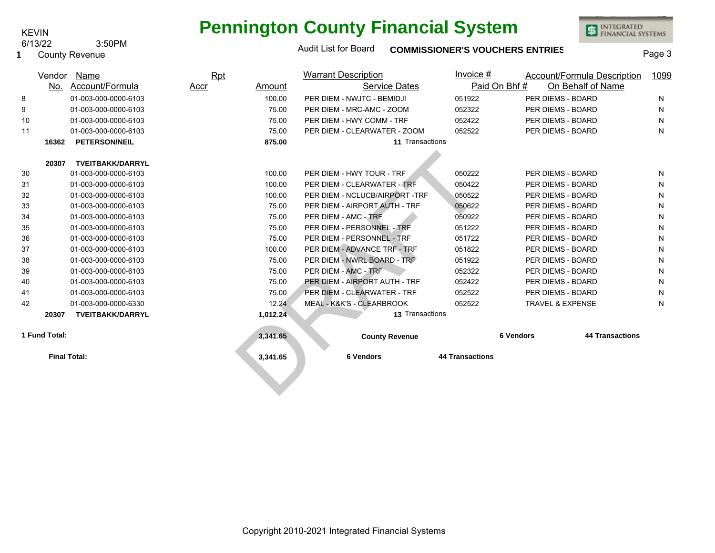## **Pennington County Financial System**

INTEGRATED<br>FINANCIAL SYSTEMS

6/13/22 3:50PM

| <b>County Revenue</b><br>-1 |  |
|-----------------------------|--|
|-----------------------------|--|

KEVIN

| Audit List for Board | <b>COMMISSIONER'S VOUCHERS ENTRIES</b> | Page 3 |
|----------------------|----------------------------------------|--------|
|----------------------|----------------------------------------|--------|

|    | Vendor        | Name                    | Rpt         |          | <b>Warrant Description</b>     | Invoice $#$            |                             | <b>Account/Formula Description</b> | 1099 |
|----|---------------|-------------------------|-------------|----------|--------------------------------|------------------------|-----------------------------|------------------------------------|------|
|    | No.           | Account/Formula         | <b>Accr</b> | Amount   | <b>Service Dates</b>           |                        | Paid On Bhf#                | On Behalf of Name                  |      |
| 8  |               | 01-003-000-0000-6103    |             | 100.00   | PER DIEM - NWJTC - BEMIDJI     | 051922                 | PER DIEMS - BOARD           |                                    | N    |
| 9  |               | 01-003-000-0000-6103    |             | 75.00    | PER DIEM - MRC-AMC - ZOOM      | 052322                 | PER DIEMS - BOARD           |                                    | N    |
| 10 |               | 01-003-000-0000-6103    |             | 75.00    | PER DIEM - HWY COMM - TRF      | 052422                 | PER DIEMS - BOARD           |                                    | N    |
| 11 |               | 01-003-000-0000-6103    |             | 75.00    | PER DIEM - CLEARWATER - ZOOM   | 052522                 | PER DIEMS - BOARD           |                                    | N    |
|    | 16362         | <b>PETERSON/NEIL</b>    |             | 875.00   | 11 Transactions                |                        |                             |                                    |      |
|    |               |                         |             |          |                                |                        |                             |                                    |      |
|    | 20307         | <b>TVEITBAKK/DARRYL</b> |             |          |                                |                        |                             |                                    |      |
| 30 |               | 01-003-000-0000-6103    |             | 100.00   | PER DIEM - HWY TOUR - TRF      | 050222                 | PER DIEMS - BOARD           |                                    | N    |
| 31 |               | 01-003-000-0000-6103    |             | 100.00   | PER DIEM - CLEARWATER - TRF    | 050422                 | PER DIEMS - BOARD           |                                    | N    |
| 32 |               | 01-003-000-0000-6103    |             | 100.00   | PER DIEM - NCLUCB/AIRPORT -TRF | 050522                 | PER DIEMS - BOARD           |                                    | N    |
| 33 |               | 01-003-000-0000-6103    |             | 75.00    | PER DIEM - AIRPORT AUTH - TRF  | 050622                 | PER DIEMS - BOARD           |                                    | N    |
| 34 |               | 01-003-000-0000-6103    |             | 75.00    | PER DIEM - AMC - TRF           | 050922                 | PER DIEMS - BOARD           |                                    | N    |
| 35 |               | 01-003-000-0000-6103    |             | 75.00    | PER DIEM - PERSONNEL - TRF     | 051222                 | PER DIEMS - BOARD           |                                    | N    |
| 36 |               | 01-003-000-0000-6103    |             | 75.00    | PER DIEM - PERSONNEL - TRF     | 051722                 | PER DIEMS - BOARD           |                                    | N    |
| 37 |               | 01-003-000-0000-6103    |             | 100.00   | PER DIEM - ADVANCE TRF - TRF   | 051822                 | PER DIEMS - BOARD           |                                    | N    |
| 38 |               | 01-003-000-0000-6103    |             | 75.00    | PER DIEM - NWRL BOARD - TRF    | 051922                 | PER DIEMS - BOARD           |                                    | N    |
| 39 |               | 01-003-000-0000-6103    |             | 75.00    | PER DIEM - AMC - TRF           | 052322                 | PER DIEMS - BOARD           |                                    | N    |
| 40 |               | 01-003-000-0000-6103    |             | 75.00    | PER DIEM - AIRPORT AUTH - TRF  | 052422                 | PER DIEMS - BOARD           |                                    | N    |
| 41 |               | 01-003-000-0000-6103    |             | 75.00    | PER DIEM - CLEARWATER - TRF    | 052522                 | PER DIEMS - BOARD           |                                    | N    |
| 42 |               | 01-003-000-0000-6330    |             | 12.24    | MEAL - K&K'S - CLEARBROOK      | 052522                 | <b>TRAVEL &amp; EXPENSE</b> |                                    | N    |
|    | 20307         | <b>TVEITBAKK/DARRYL</b> |             | 1,012.24 | 13 Transactions                |                        |                             |                                    |      |
|    | 1 Fund Total: |                         |             | 3,341.65 | <b>County Revenue</b>          |                        | <b>6 Vendors</b>            | <b>44 Transactions</b>             |      |
|    |               | <b>Final Total:</b>     |             | 3,341.65 | 6 Vendors                      | <b>44 Transactions</b> |                             |                                    |      |
|    |               |                         |             |          |                                |                        |                             |                                    |      |
|    |               |                         |             |          |                                |                        |                             |                                    |      |